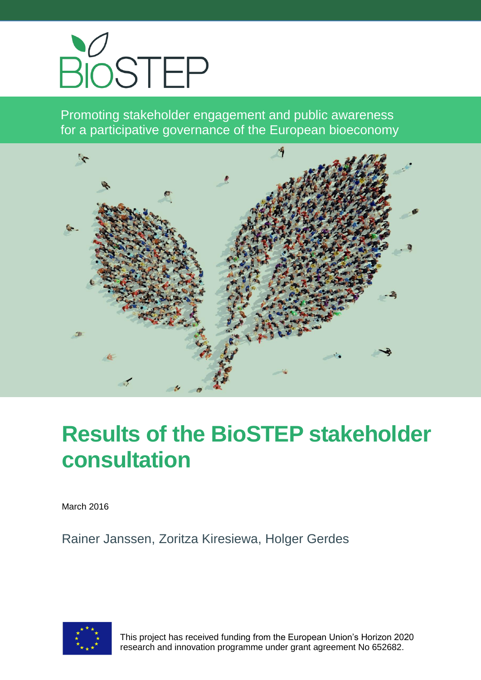

Promoting stakeholder engagement and public awareness for a participative governance of the European bioeconomy



# **Results of the BioSTEP stakeholder consultation**

March 2016

Rainer Janssen, Zoritza Kiresiewa, Holger Gerdes



 This project has received funding from the European Union's Horizon 2020 research and innovation programme under grant agreement No 652682.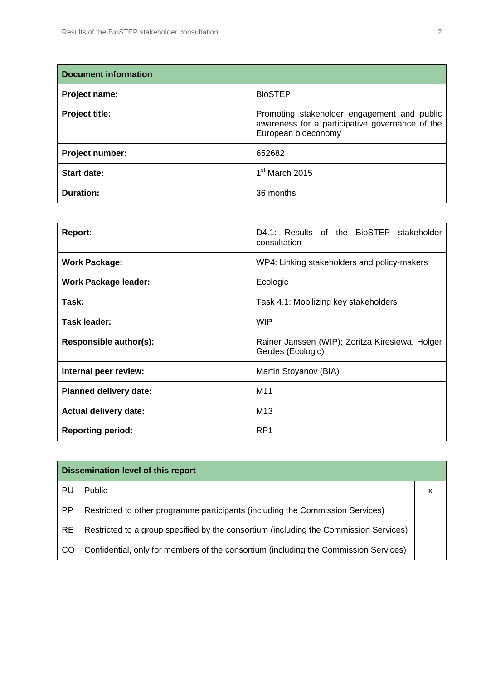| <b>Document information</b> |                                                                                                                       |
|-----------------------------|-----------------------------------------------------------------------------------------------------------------------|
| Project name:               | <b>BioSTEP</b>                                                                                                        |
| Project title:              | Promoting stakeholder engagement and public<br>awareness for a participative governance of the<br>European bioeconomy |
| Project number:             | 652682                                                                                                                |
| <b>Start date:</b>          | $1st$ March 2015                                                                                                      |
| <b>Duration:</b>            | 36 months                                                                                                             |

| <b>Report:</b>                | D4.1: Results of the BioSTEP stakeholder<br>consultation             |  |  |  |  |  |  |  |
|-------------------------------|----------------------------------------------------------------------|--|--|--|--|--|--|--|
| <b>Work Package:</b>          | WP4: Linking stakeholders and policy-makers                          |  |  |  |  |  |  |  |
| <b>Work Package leader:</b>   | Ecologic                                                             |  |  |  |  |  |  |  |
| Task:                         | Task 4.1: Mobilizing key stakeholders                                |  |  |  |  |  |  |  |
| Task leader:                  | <b>WIP</b>                                                           |  |  |  |  |  |  |  |
| Responsible author(s):        | Rainer Janssen (WIP); Zoritza Kiresiewa, Holger<br>Gerdes (Ecologic) |  |  |  |  |  |  |  |
| Internal peer review:         | Martin Stoyanov (BIA)                                                |  |  |  |  |  |  |  |
| <b>Planned delivery date:</b> | M11                                                                  |  |  |  |  |  |  |  |
| <b>Actual delivery date:</b>  | M <sub>13</sub>                                                      |  |  |  |  |  |  |  |
| <b>Reporting period:</b>      | RP <sub>1</sub>                                                      |  |  |  |  |  |  |  |

|           | <b>Dissemination level of this report</b>                                             |  |
|-----------|---------------------------------------------------------------------------------------|--|
| PU        | Public                                                                                |  |
| <b>PP</b> | Restricted to other programme participants (including the Commission Services)        |  |
| <b>RE</b> | Restricted to a group specified by the consortium (including the Commission Services) |  |
| CO        | Confidential, only for members of the consortium (including the Commission Services)  |  |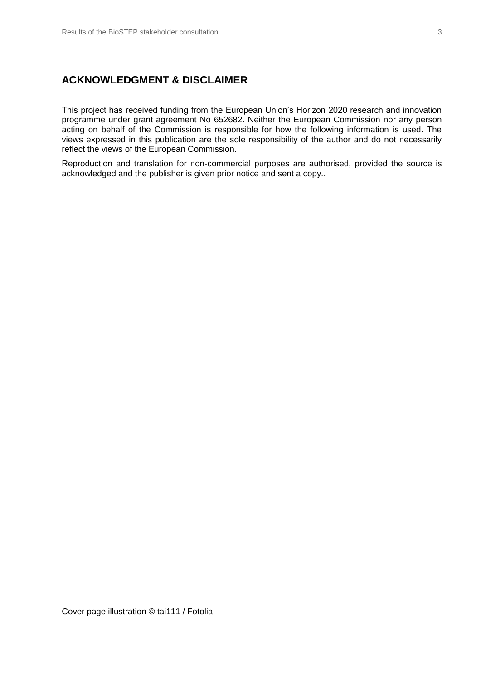## **ACKNOWLEDGMENT & DISCLAIMER**

This project has received funding from the European Union's Horizon 2020 research and innovation programme under grant agreement No 652682. Neither the European Commission nor any person acting on behalf of the Commission is responsible for how the following information is used. The views expressed in this publication are the sole responsibility of the author and do not necessarily reflect the views of the European Commission.

Reproduction and translation for non-commercial purposes are authorised, provided the source is acknowledged and the publisher is given prior notice and sent a copy..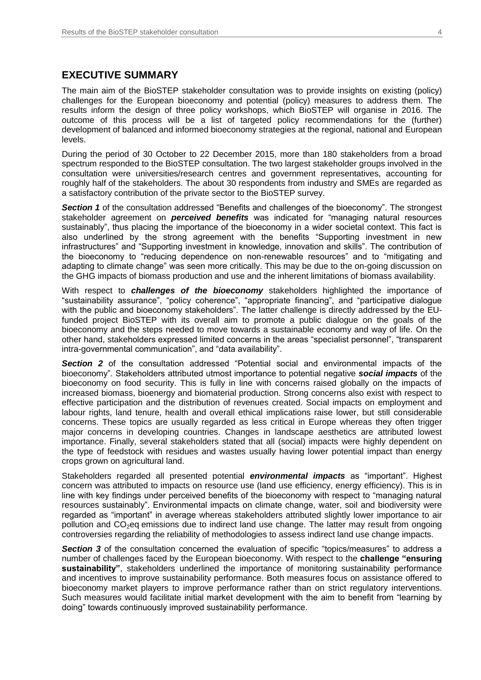#### **EXECUTIVE SUMMARY**

The main aim of the BioSTEP stakeholder consultation was to provide insights on existing (policy) challenges for the European bioeconomy and potential (policy) measures to address them. The results inform the design of three policy workshops, which BioSTEP will organise in 2016. The outcome of this process will be a list of targeted policy recommendations for the (further) development of balanced and informed bioeconomy strategies at the regional, national and European levels.

During the period of 30 October to 22 December 2015, more than 180 stakeholders from a broad spectrum responded to the BioSTEP consultation. The two largest stakeholder groups involved in the consultation were universities/research centres and government representatives, accounting for roughly half of the stakeholders. The about 30 respondents from industry and SMEs are regarded as a satisfactory contribution of the private sector to the BioSTEP survey.

**Section 1** of the consultation addressed "Benefits and challenges of the bioeconomy". The strongest stakeholder agreement on *perceived benefits* was indicated for "managing natural resources sustainably", thus placing the importance of the bioeconomy in a wider societal context. This fact is also underlined by the strong agreement with the benefits "Supporting investment in new infrastructures" and "Supporting investment in knowledge, innovation and skills". The contribution of the bioeconomy to "reducing dependence on non-renewable resources" and to "mitigating and adapting to climate change" was seen more critically. This may be due to the on-going discussion on the GHG impacts of biomass production and use and the inherent limitations of biomass availability.

With respect to *challenges of the bioeconomy* stakeholders highlighted the importance of "sustainability assurance", "policy coherence", "appropriate financing", and "participative dialogue with the public and bioeconomy stakeholders". The latter challenge is directly addressed by the EUfunded project BioSTEP with its overall aim to promote a public dialogue on the goals of the bioeconomy and the steps needed to move towards a sustainable economy and way of life. On the other hand, stakeholders expressed limited concerns in the areas "specialist personnel", "transparent intra-governmental communication", and "data availability".

**Section 2** of the consultation addressed "Potential social and environmental impacts of the bioeconomy". Stakeholders attributed utmost importance to potential negative *social impacts* of the bioeconomy on food security. This is fully in line with concerns raised globally on the impacts of increased biomass, bioenergy and biomaterial production. Strong concerns also exist with respect to effective participation and the distribution of revenues created. Social impacts on employment and labour rights, land tenure, health and overall ethical implications raise lower, but still considerable concerns. These topics are usually regarded as less critical in Europe whereas they often trigger major concerns in developing countries. Changes in landscape aesthetics are attributed lowest importance. Finally, several stakeholders stated that all (social) impacts were highly dependent on the type of feedstock with residues and wastes usually having lower potential impact than energy crops grown on agricultural land.

Stakeholders regarded all presented potential *environmental impacts* as "important". Highest concern was attributed to impacts on resource use (land use efficiency, energy efficiency). This is in line with key findings under perceived benefits of the bioeconomy with respect to "managing natural resources sustainably". Environmental impacts on climate change, water, soil and biodiversity were regarded as "important" in average whereas stakeholders attributed slightly lower importance to air pollution and  $CO<sub>2</sub>$ eq emissions due to indirect land use change. The latter may result from ongoing controversies regarding the reliability of methodologies to assess indirect land use change impacts.

**Section 3** of the consultation concerned the evaluation of specific "topics/measures" to address a number of challenges faced by the European bioeconomy. With respect to the **challenge "ensuring sustainability"**, stakeholders underlined the importance of monitoring sustainability performance and incentives to improve sustainability performance. Both measures focus on assistance offered to bioeconomy market players to improve performance rather than on strict regulatory interventions. Such measures would facilitate initial market development with the aim to benefit from "learning by doing" towards continuously improved sustainability performance.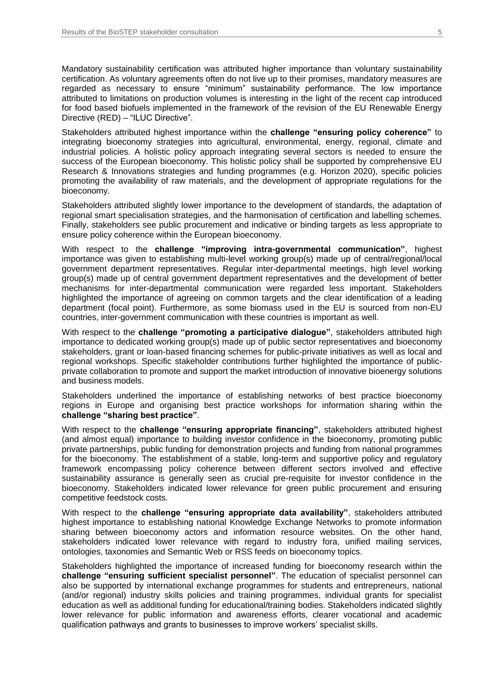Mandatory sustainability certification was attributed higher importance than voluntary sustainability certification. As voluntary agreements often do not live up to their promises, mandatory measures are regarded as necessary to ensure "minimum" sustainability performance. The low importance attributed to limitations on production volumes is interesting in the light of the recent cap introduced for food based biofuels implemented in the framework of the revision of the EU Renewable Energy Directive (RED) – "ILUC Directive".

Stakeholders attributed highest importance within the **challenge "ensuring policy coherence"** to integrating bioeconomy strategies into agricultural, environmental, energy, regional, climate and industrial policies. A holistic policy approach integrating several sectors is needed to ensure the success of the European bioeconomy. This holistic policy shall be supported by comprehensive EU Research & Innovations strategies and funding programmes (e.g. Horizon 2020), specific policies promoting the availability of raw materials, and the development of appropriate regulations for the bioeconomy.

Stakeholders attributed slightly lower importance to the development of standards, the adaptation of regional smart specialisation strategies, and the harmonisation of certification and labelling schemes. Finally, stakeholders see public procurement and indicative or binding targets as less appropriate to ensure policy coherence within the European bioeconomy.

With respect to the **challenge "improving intra-governmental communication"**, highest importance was given to establishing multi-level working group(s) made up of central/regional/local government department representatives. Regular inter-departmental meetings, high level working group(s) made up of central government department representatives and the development of better mechanisms for inter-departmental communication were regarded less important. Stakeholders highlighted the importance of agreeing on common targets and the clear identification of a leading department (focal point). Furthermore, as some biomass used in the EU is sourced from non-EU countries, inter-government communication with these countries is important as well.

With respect to the **challenge "promoting a participative dialogue"**, stakeholders attributed high importance to dedicated working group(s) made up of public sector representatives and bioeconomy stakeholders, grant or loan-based financing schemes for public-private initiatives as well as local and regional workshops. Specific stakeholder contributions further highlighted the importance of publicprivate collaboration to promote and support the market introduction of innovative bioenergy solutions and business models.

Stakeholders underlined the importance of establishing networks of best practice bioeconomy regions in Europe and organising best practice workshops for information sharing within the **challenge "sharing best practice"**.

With respect to the **challenge "ensuring appropriate financing"**, stakeholders attributed highest (and almost equal) importance to building investor confidence in the bioeconomy, promoting public private partnerships, public funding for demonstration projects and funding from national programmes for the bioeconomy. The establishment of a stable, long-term and supportive policy and regulatory framework encompassing policy coherence between different sectors involved and effective sustainability assurance is generally seen as crucial pre-requisite for investor confidence in the bioeconomy. Stakeholders indicated lower relevance for green public procurement and ensuring competitive feedstock costs.

With respect to the **challenge "ensuring appropriate data availability"**, stakeholders attributed highest importance to establishing national Knowledge Exchange Networks to promote information sharing between bioeconomy actors and information resource websites. On the other hand, stakeholders indicated lower relevance with regard to industry fora, unified mailing services, ontologies, taxonomies and Semantic Web or RSS feeds on bioeconomy topics.

Stakeholders highlighted the importance of increased funding for bioeconomy research within the **challenge "ensuring sufficient specialist personnel"**. The education of specialist personnel can also be supported by international exchange programmes for students and entrepreneurs, national (and/or regional) industry skills policies and training programmes, individual grants for specialist education as well as additional funding for educational/training bodies. Stakeholders indicated slightly lower relevance for public information and awareness efforts, clearer vocational and academic qualification pathways and grants to businesses to improve workers' specialist skills.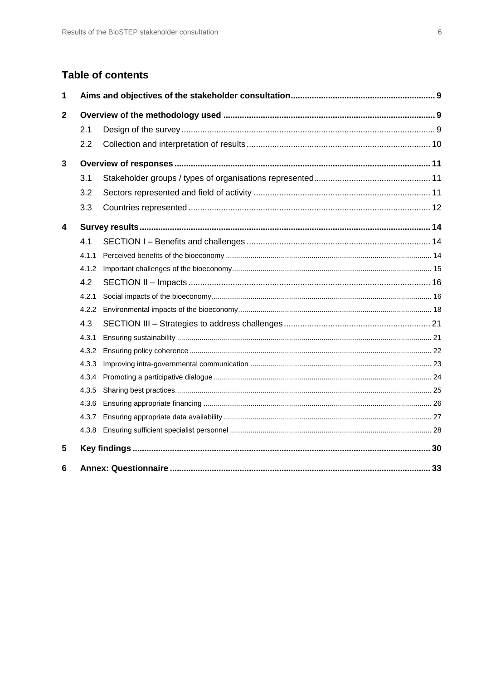## **Table of contents**

| 1            |       |  |
|--------------|-------|--|
| $\mathbf{2}$ |       |  |
|              | 2.1   |  |
|              | 2.2   |  |
| 3            |       |  |
|              | 3.1   |  |
|              | 3.2   |  |
|              | 3.3   |  |
| 4            |       |  |
|              | 4.1   |  |
|              | 4.1.1 |  |
|              | 4.1.2 |  |
|              | 4.2   |  |
|              | 4.2.1 |  |
|              |       |  |
|              | 4.3   |  |
|              | 4.3.1 |  |
|              | 4.3.2 |  |
|              | 4.3.3 |  |
|              | 4.3.4 |  |
|              | 4.3.5 |  |
|              | 4.3.6 |  |
|              | 4.3.7 |  |
|              |       |  |
| 5            |       |  |
| 6            |       |  |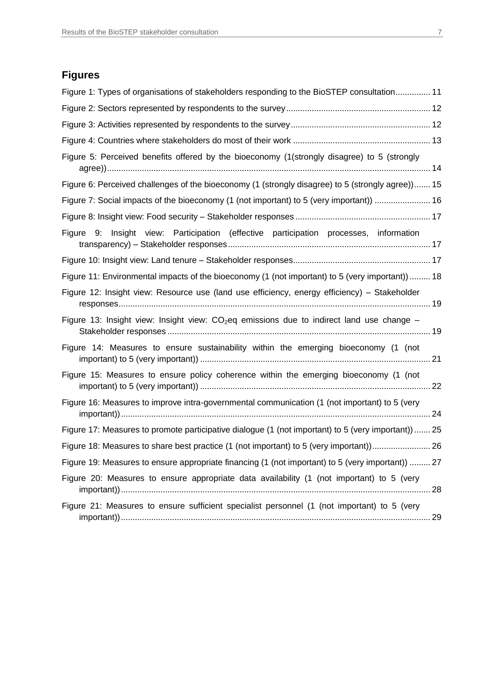## **Figures**

| Figure 1: Types of organisations of stakeholders responding to the BioSTEP consultation 11         |  |
|----------------------------------------------------------------------------------------------------|--|
|                                                                                                    |  |
|                                                                                                    |  |
|                                                                                                    |  |
| Figure 5: Perceived benefits offered by the bioeconomy (1(strongly disagree) to 5 (strongly        |  |
| Figure 6: Perceived challenges of the bioeconomy (1 (strongly disagree) to 5 (strongly agree)) 15  |  |
| Figure 7: Social impacts of the bioeconomy (1 (not important) to 5 (very important))  16           |  |
|                                                                                                    |  |
| Figure 9: Insight view: Participation (effective participation processes, information              |  |
|                                                                                                    |  |
| Figure 11: Environmental impacts of the bioeconomy (1 (not important) to 5 (very important)) 18    |  |
| Figure 12: Insight view: Resource use (land use efficiency, energy efficiency) – Stakeholder       |  |
| Figure 13: Insight view: Insight view: $CO2$ eq emissions due to indirect land use change –        |  |
| Figure 14: Measures to ensure sustainability within the emerging bioeconomy (1 (not                |  |
| Figure 15: Measures to ensure policy coherence within the emerging bioeconomy (1 (not              |  |
| Figure 16: Measures to improve intra-governmental communication (1 (not important) to 5 (very      |  |
| Figure 17: Measures to promote participative dialogue (1 (not important) to 5 (very important)  25 |  |
| Figure 18: Measures to share best practice (1 (not important) to 5 (very important)) 26            |  |
| Figure 19: Measures to ensure appropriate financing (1 (not important) to 5 (very important))  27  |  |
| Figure 20: Measures to ensure appropriate data availability (1 (not important) to 5 (very          |  |
| Figure 21: Measures to ensure sufficient specialist personnel (1 (not important) to 5 (very        |  |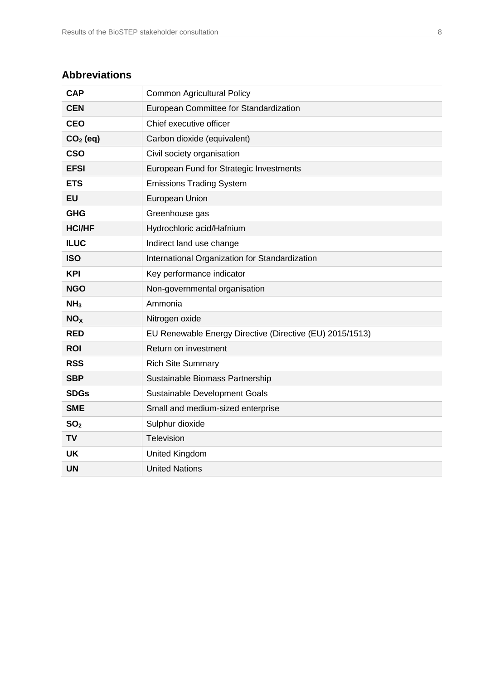## **Abbreviations**

| <b>CAP</b>      | <b>Common Agricultural Policy</b>                        |
|-----------------|----------------------------------------------------------|
| <b>CEN</b>      | European Committee for Standardization                   |
| <b>CEO</b>      | Chief executive officer                                  |
| $CO2$ (eq)      | Carbon dioxide (equivalent)                              |
| <b>CSO</b>      | Civil society organisation                               |
| <b>EFSI</b>     | European Fund for Strategic Investments                  |
| <b>ETS</b>      | <b>Emissions Trading System</b>                          |
| <b>EU</b>       | European Union                                           |
| <b>GHG</b>      | Greenhouse gas                                           |
| <b>HCI/HF</b>   | Hydrochloric acid/Hafnium                                |
| <b>ILUC</b>     | Indirect land use change                                 |
| <b>ISO</b>      | International Organization for Standardization           |
| <b>KPI</b>      | Key performance indicator                                |
| <b>NGO</b>      | Non-governmental organisation                            |
| NH <sub>3</sub> | Ammonia                                                  |
| NO <sub>X</sub> | Nitrogen oxide                                           |
| <b>RED</b>      | EU Renewable Energy Directive (Directive (EU) 2015/1513) |
| <b>ROI</b>      | Return on investment                                     |
| <b>RSS</b>      | <b>Rich Site Summary</b>                                 |
| <b>SBP</b>      | Sustainable Biomass Partnership                          |
| <b>SDGs</b>     | Sustainable Development Goals                            |
| <b>SME</b>      | Small and medium-sized enterprise                        |
| SO <sub>2</sub> | Sulphur dioxide                                          |
| <b>TV</b>       | Television                                               |
| <b>UK</b>       | United Kingdom                                           |
| <b>UN</b>       | <b>United Nations</b>                                    |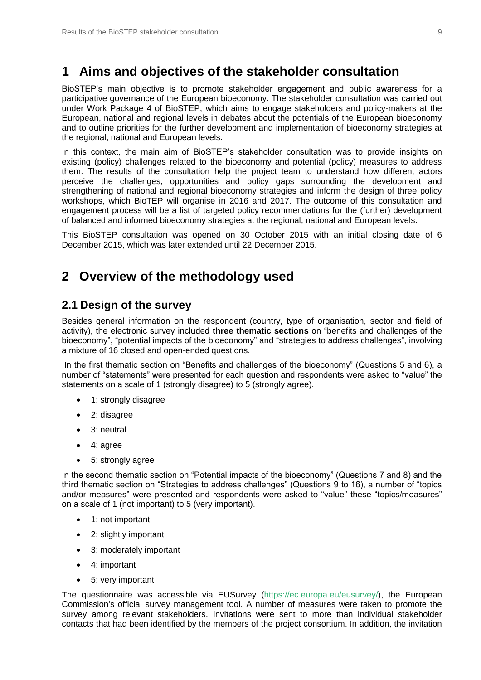## <span id="page-8-0"></span>**1 Aims and objectives of the stakeholder consultation**

BioSTEP's main objective is to promote stakeholder engagement and public awareness for a participative governance of the European bioeconomy. The stakeholder consultation was carried out under Work Package 4 of BioSTEP, which aims to engage stakeholders and policy-makers at the European, national and regional levels in debates about the potentials of the European bioeconomy and to outline priorities for the further development and implementation of bioeconomy strategies at the regional, national and European levels.

In this context, the main aim of BioSTEP's stakeholder consultation was to provide insights on existing (policy) challenges related to the bioeconomy and potential (policy) measures to address them. The results of the consultation help the project team to understand how different actors perceive the challenges, opportunities and policy gaps surrounding the development and strengthening of national and regional bioeconomy strategies and inform the design of three policy workshops, which BioTEP will organise in 2016 and 2017. The outcome of this consultation and engagement process will be a list of targeted policy recommendations for the (further) development of balanced and informed bioeconomy strategies at the regional, national and European levels.

This BioSTEP consultation was opened on 30 October 2015 with an initial closing date of 6 December 2015, which was later extended until 22 December 2015.

## <span id="page-8-1"></span>**2 Overview of the methodology used**

## <span id="page-8-2"></span>**2.1 Design of the survey**

Besides general information on the respondent (country, type of organisation, sector and field of activity), the electronic survey included **three thematic sections** on "benefits and challenges of the bioeconomy", "potential impacts of the bioeconomy" and "strategies to address challenges", involving a mixture of 16 closed and open-ended questions.

In the first thematic section on "Benefits and challenges of the bioeconomy" (Questions 5 and 6), a number of "statements" were presented for each question and respondents were asked to "value" the statements on a scale of 1 (strongly disagree) to 5 (strongly agree).

- 1: strongly disagree
- 2: disagree
- 3: neutral
- 4: agree
- 5: strongly agree

In the second thematic section on "Potential impacts of the bioeconomy" (Questions 7 and 8) and the third thematic section on "Strategies to address challenges" (Questions 9 to 16), a number of "topics and/or measures" were presented and respondents were asked to "value" these "topics/measures" on a scale of 1 (not important) to 5 (very important).

- 1: not important
- 2: slightly important
- 3: moderately important
- 4: important
- 5: very important

The questionnaire was accessible via EUSurvey [\(https://ec.europa.eu/eusurvey/\)](https://ec.europa.eu/eusurvey/), the European Commission's official survey management tool. A number of measures were taken to promote the survey among relevant stakeholders. Invitations were sent to more than individual stakeholder contacts that had been identified by the members of the project consortium. In addition, the invitation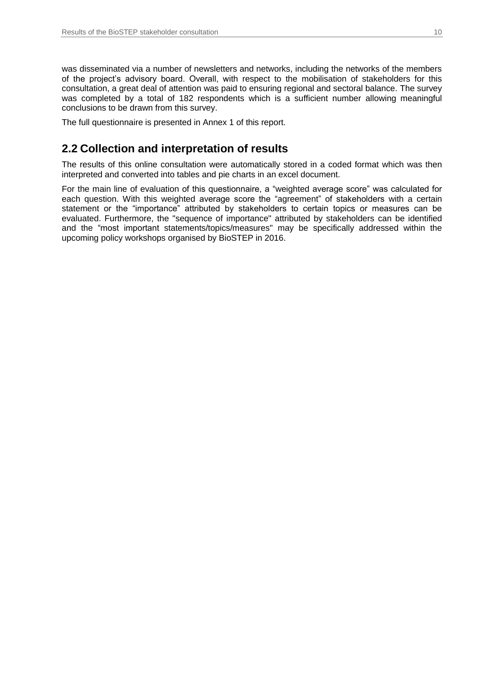was disseminated via a number of newsletters and networks, including the networks of the members of the project's advisory board. Overall, with respect to the mobilisation of stakeholders for this consultation, a great deal of attention was paid to ensuring regional and sectoral balance. The survey was completed by a total of 182 respondents which is a sufficient number allowing meaningful conclusions to be drawn from this survey.

The full questionnaire is presented in Annex 1 of this report.

## <span id="page-9-0"></span>**2.2 Collection and interpretation of results**

The results of this online consultation were automatically stored in a coded format which was then interpreted and converted into tables and pie charts in an excel document.

For the main line of evaluation of this questionnaire, a "weighted average score" was calculated for each question. With this weighted average score the "agreement" of stakeholders with a certain statement or the "importance" attributed by stakeholders to certain topics or measures can be evaluated. Furthermore, the "sequence of importance" attributed by stakeholders can be identified and the "most important statements/topics/measures" may be specifically addressed within the upcoming policy workshops organised by BioSTEP in 2016.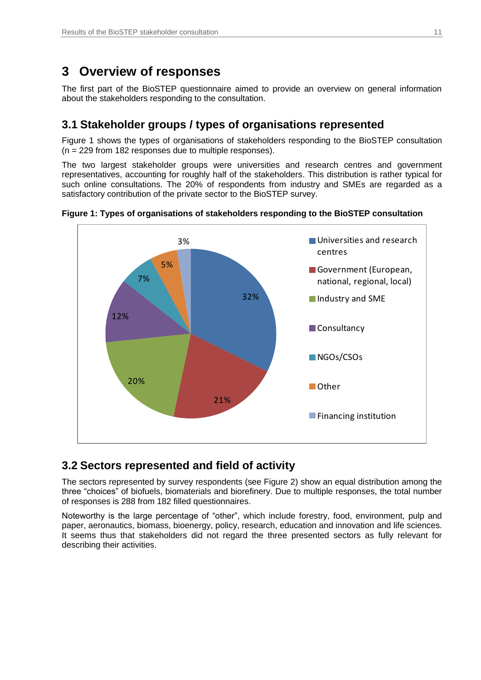## <span id="page-10-0"></span>**3 Overview of responses**

The first part of the BioSTEP questionnaire aimed to provide an overview on general information about the stakeholders responding to the consultation.

## <span id="page-10-1"></span>**3.1 Stakeholder groups / types of organisations represented**

Figure 1 shows the types of organisations of stakeholders responding to the BioSTEP consultation (n = 229 from 182 responses due to multiple responses).

The two largest stakeholder groups were universities and research centres and government representatives, accounting for roughly half of the stakeholders. This distribution is rather typical for such online consultations. The 20% of respondents from industry and SMEs are regarded as a satisfactory contribution of the private sector to the BioSTEP survey.



<span id="page-10-3"></span>

## <span id="page-10-2"></span>**3.2 Sectors represented and field of activity**

The sectors represented by survey respondents (see Figure 2) show an equal distribution among the three "choices" of biofuels, biomaterials and biorefinery. Due to multiple responses, the total number of responses is 288 from 182 filled questionnaires.

Noteworthy is the large percentage of "other", which include forestry, food, environment, pulp and paper, aeronautics, biomass, bioenergy, policy, research, education and innovation and life sciences. It seems thus that stakeholders did not regard the three presented sectors as fully relevant for describing their activities.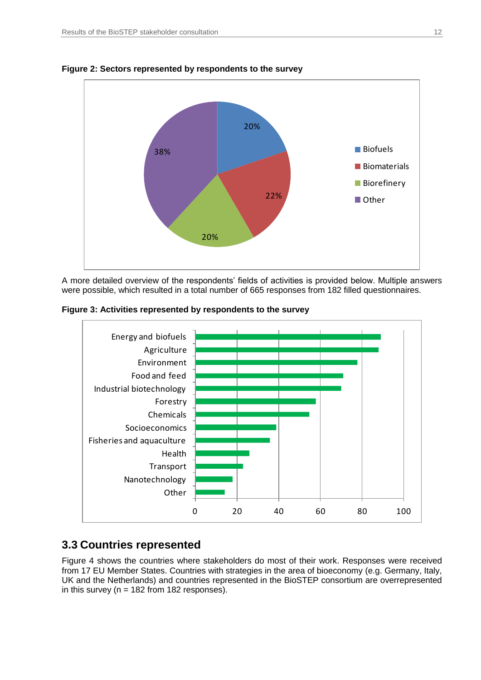

<span id="page-11-1"></span>**Figure 2: Sectors represented by respondents to the survey**

A more detailed overview of the respondents' fields of activities is provided below. Multiple answers were possible, which resulted in a total number of 665 responses from 182 filled questionnaires.

<span id="page-11-2"></span>**Figure 3: Activities represented by respondents to the survey**



## <span id="page-11-0"></span>**3.3 Countries represented**

Figure 4 shows the countries where stakeholders do most of their work. Responses were received from 17 EU Member States. Countries with strategies in the area of bioeconomy (e.g. Germany, Italy, UK and the Netherlands) and countries represented in the BioSTEP consortium are overrepresented in this survey ( $n = 182$  from 182 responses).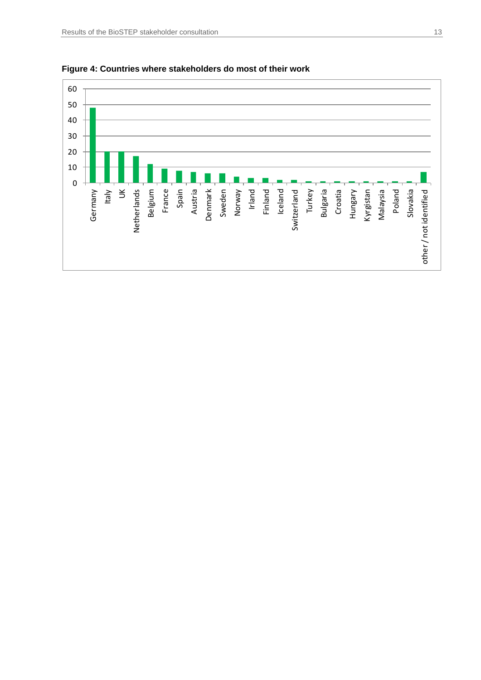

<span id="page-12-0"></span>**Figure 4: Countries where stakeholders do most of their work**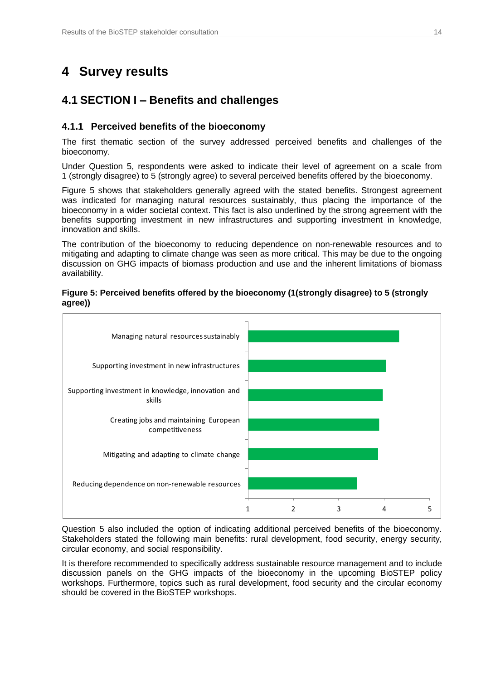## <span id="page-13-0"></span>**4 Survey results**

## <span id="page-13-1"></span>**4.1 SECTION I – Benefits and challenges**

### <span id="page-13-2"></span>**4.1.1 Perceived benefits of the bioeconomy**

The first thematic section of the survey addressed perceived benefits and challenges of the bioeconomy.

Under Question 5, respondents were asked to indicate their level of agreement on a scale from 1 (strongly disagree) to 5 (strongly agree) to several perceived benefits offered by the bioeconomy.

Figure 5 shows that stakeholders generally agreed with the stated benefits. Strongest agreement was indicated for managing natural resources sustainably, thus placing the importance of the bioeconomy in a wider societal context. This fact is also underlined by the strong agreement with the benefits supporting investment in new infrastructures and supporting investment in knowledge, innovation and skills.

The contribution of the bioeconomy to reducing dependence on non-renewable resources and to mitigating and adapting to climate change was seen as more critical. This may be due to the ongoing discussion on GHG impacts of biomass production and use and the inherent limitations of biomass availability.

#### <span id="page-13-3"></span>**Figure 5: Perceived benefits offered by the bioeconomy (1(strongly disagree) to 5 (strongly agree))**



Question 5 also included the option of indicating additional perceived benefits of the bioeconomy. Stakeholders stated the following main benefits: rural development, food security, energy security, circular economy, and social responsibility.

It is therefore recommended to specifically address sustainable resource management and to include discussion panels on the GHG impacts of the bioeconomy in the upcoming BioSTEP policy workshops. Furthermore, topics such as rural development, food security and the circular economy should be covered in the BioSTEP workshops.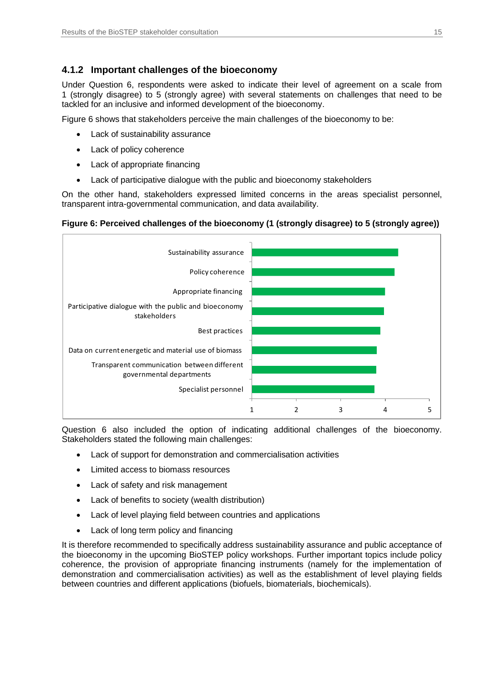## <span id="page-14-0"></span>**4.1.2 Important challenges of the bioeconomy**

Under Question 6, respondents were asked to indicate their level of agreement on a scale from 1 (strongly disagree) to 5 (strongly agree) with several statements on challenges that need to be tackled for an inclusive and informed development of the bioeconomy.

Figure 6 shows that stakeholders perceive the main challenges of the bioeconomy to be:

- Lack of sustainability assurance
- Lack of policy coherence
- Lack of appropriate financing
- Lack of participative dialogue with the public and bioeconomy stakeholders

On the other hand, stakeholders expressed limited concerns in the areas specialist personnel, transparent intra-governmental communication, and data availability.

#### <span id="page-14-1"></span>**Figure 6: Perceived challenges of the bioeconomy (1 (strongly disagree) to 5 (strongly agree))**



Question 6 also included the option of indicating additional challenges of the bioeconomy. Stakeholders stated the following main challenges:

- Lack of support for demonstration and commercialisation activities
- Limited access to biomass resources
- Lack of safety and risk management
- Lack of benefits to society (wealth distribution)
- Lack of level playing field between countries and applications
- Lack of long term policy and financing

It is therefore recommended to specifically address sustainability assurance and public acceptance of the bioeconomy in the upcoming BioSTEP policy workshops. Further important topics include policy coherence, the provision of appropriate financing instruments (namely for the implementation of demonstration and commercialisation activities) as well as the establishment of level playing fields between countries and different applications (biofuels, biomaterials, biochemicals).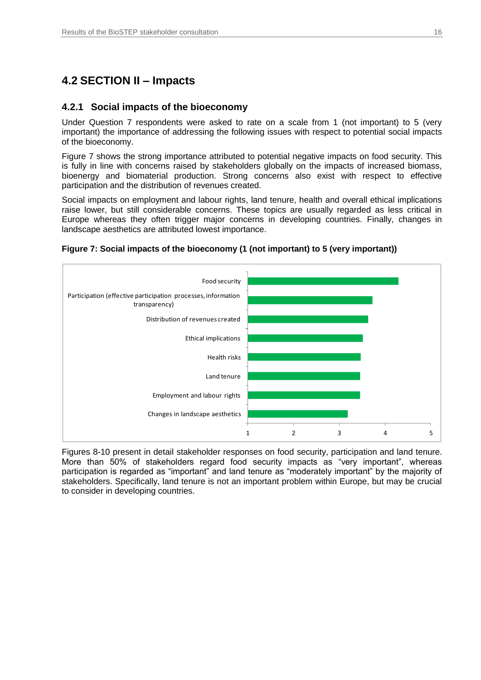## <span id="page-15-0"></span>**4.2 SECTION II – Impacts**

#### <span id="page-15-1"></span>**4.2.1 Social impacts of the bioeconomy**

Under Question 7 respondents were asked to rate on a scale from 1 (not important) to 5 (very important) the importance of addressing the following issues with respect to potential social impacts of the bioeconomy.

Figure 7 shows the strong importance attributed to potential negative impacts on food security. This is fully in line with concerns raised by stakeholders globally on the impacts of increased biomass, bioenergy and biomaterial production. Strong concerns also exist with respect to effective participation and the distribution of revenues created.

Social impacts on employment and labour rights, land tenure, health and overall ethical implications raise lower, but still considerable concerns. These topics are usually regarded as less critical in Europe whereas they often trigger major concerns in developing countries. Finally, changes in landscape aesthetics are attributed lowest importance.



#### <span id="page-15-2"></span>**Figure 7: Social impacts of the bioeconomy (1 (not important) to 5 (very important))**

Figures 8-10 present in detail stakeholder responses on food security, participation and land tenure. More than 50% of stakeholders regard food security impacts as "very important", whereas participation is regarded as "important" and land tenure as "moderately important" by the majority of stakeholders. Specifically, land tenure is not an important problem within Europe, but may be crucial to consider in developing countries.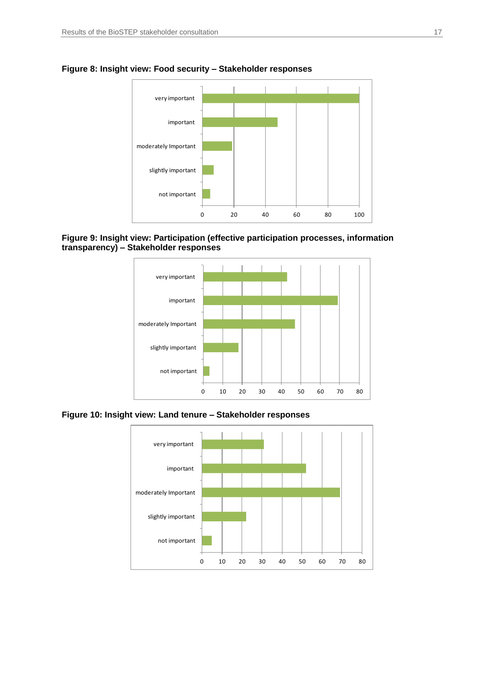

<span id="page-16-0"></span>**Figure 8: Insight view: Food security – Stakeholder responses**

<span id="page-16-1"></span>



<span id="page-16-2"></span>**Figure 10: Insight view: Land tenure – Stakeholder responses**

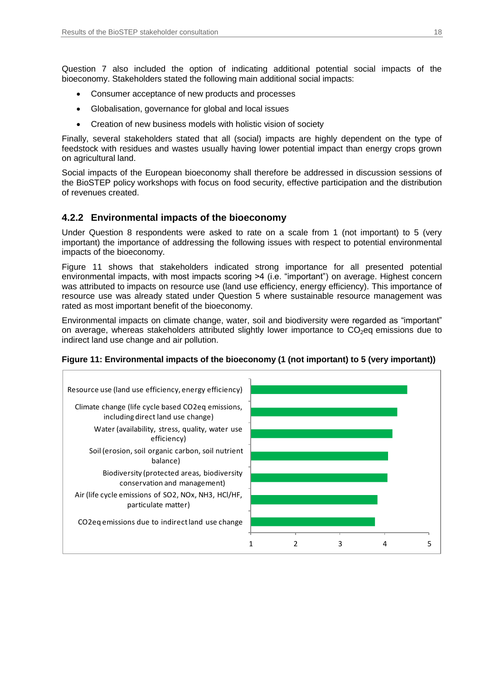Question 7 also included the option of indicating additional potential social impacts of the bioeconomy. Stakeholders stated the following main additional social impacts:

- Consumer acceptance of new products and processes
- Globalisation, governance for global and local issues
- Creation of new business models with holistic vision of society

Finally, several stakeholders stated that all (social) impacts are highly dependent on the type of feedstock with residues and wastes usually having lower potential impact than energy crops grown on agricultural land.

Social impacts of the European bioeconomy shall therefore be addressed in discussion sessions of the BioSTEP policy workshops with focus on food security, effective participation and the distribution of revenues created.

### <span id="page-17-0"></span>**4.2.2 Environmental impacts of the bioeconomy**

Under Question 8 respondents were asked to rate on a scale from 1 (not important) to 5 (very important) the importance of addressing the following issues with respect to potential environmental impacts of the bioeconomy.

Figure 11 shows that stakeholders indicated strong importance for all presented potential environmental impacts, with most impacts scoring >4 (i.e. "important") on average. Highest concern was attributed to impacts on resource use (land use efficiency, energy efficiency). This importance of resource use was already stated under Question 5 where sustainable resource management was rated as most important benefit of the bioeconomy.

Environmental impacts on climate change, water, soil and biodiversity were regarded as "important" on average, whereas stakeholders attributed slightly lower importance to  $CO<sub>2</sub>$ eq emissions due to indirect land use change and air pollution.



#### <span id="page-17-1"></span>Figure 11: Environmental impacts of the bioeconomy (1 (not important) to 5 (very important))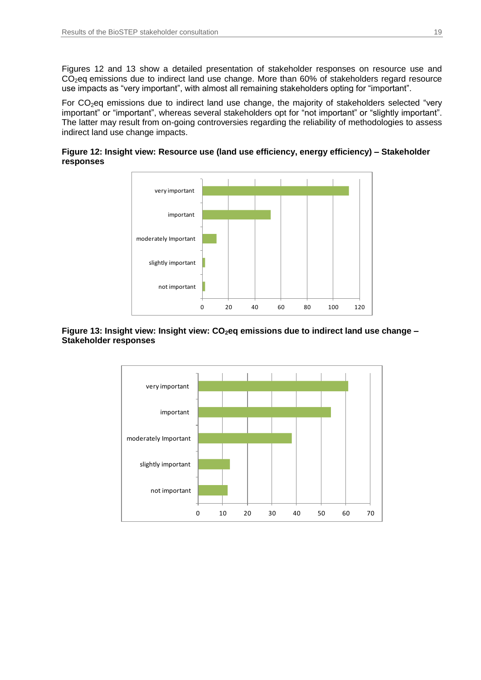Figures 12 and 13 show a detailed presentation of stakeholder responses on resource use and  $CO<sub>2</sub>$ eq emissions due to indirect land use change. More than 60% of stakeholders regard resource use impacts as "very important", with almost all remaining stakeholders opting for "important".

For CO<sub>2</sub>eq emissions due to indirect land use change, the majority of stakeholders selected "very important" or "important", whereas several stakeholders opt for "not important" or "slightly important". The latter may result from on-going controversies regarding the reliability of methodologies to assess indirect land use change impacts.

#### <span id="page-18-0"></span>**Figure 12: Insight view: Resource use (land use efficiency, energy efficiency) – Stakeholder responses**



#### <span id="page-18-1"></span>**Figure 13: Insight view: Insight view: CO2eq emissions due to indirect land use change – Stakeholder responses**

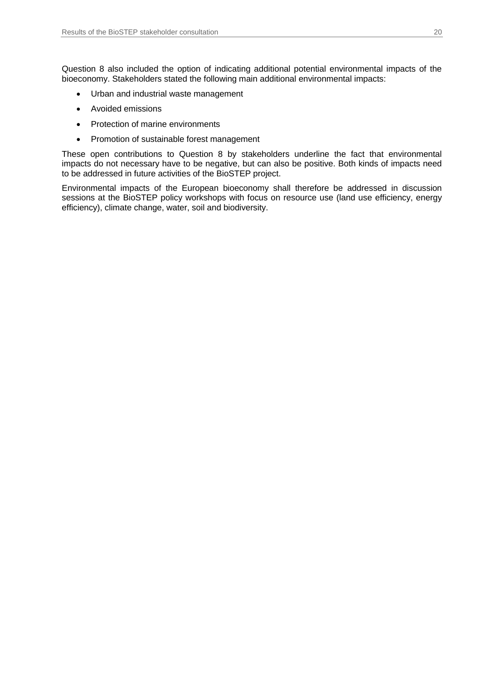Question 8 also included the option of indicating additional potential environmental impacts of the bioeconomy. Stakeholders stated the following main additional environmental impacts:

- Urban and industrial waste management
- Avoided emissions
- Protection of marine environments
- Promotion of sustainable forest management

These open contributions to Question 8 by stakeholders underline the fact that environmental impacts do not necessary have to be negative, but can also be positive. Both kinds of impacts need to be addressed in future activities of the BioSTEP project.

Environmental impacts of the European bioeconomy shall therefore be addressed in discussion sessions at the BioSTEP policy workshops with focus on resource use (land use efficiency, energy efficiency), climate change, water, soil and biodiversity.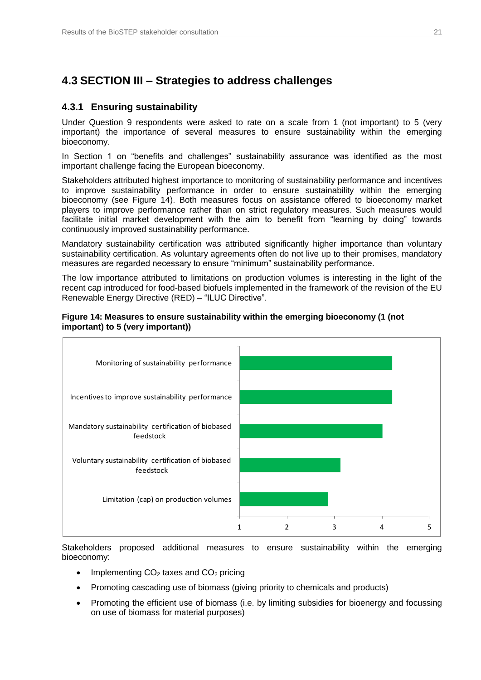## <span id="page-20-0"></span>**4.3 SECTION III – Strategies to address challenges**

### <span id="page-20-1"></span>**4.3.1 Ensuring sustainability**

Under Question 9 respondents were asked to rate on a scale from 1 (not important) to 5 (very important) the importance of several measures to ensure sustainability within the emerging bioeconomy.

In Section 1 on "benefits and challenges" sustainability assurance was identified as the most important challenge facing the European bioeconomy.

Stakeholders attributed highest importance to monitoring of sustainability performance and incentives to improve sustainability performance in order to ensure sustainability within the emerging bioeconomy (see Figure 14). Both measures focus on assistance offered to bioeconomy market players to improve performance rather than on strict regulatory measures. Such measures would facilitate initial market development with the aim to benefit from "learning by doing" towards continuously improved sustainability performance.

Mandatory sustainability certification was attributed significantly higher importance than voluntary sustainability certification. As voluntary agreements often do not live up to their promises, mandatory measures are regarded necessary to ensure "minimum" sustainability performance.

The low importance attributed to limitations on production volumes is interesting in the light of the recent cap introduced for food-based biofuels implemented in the framework of the revision of the EU Renewable Energy Directive (RED) – "ILUC Directive".

<span id="page-20-2"></span>



Stakeholders proposed additional measures to ensure sustainability within the emerging bioeconomy:

- Implementing  $CO<sub>2</sub>$  taxes and  $CO<sub>2</sub>$  pricing
- Promoting cascading use of biomass (giving priority to chemicals and products)
- Promoting the efficient use of biomass (i.e. by limiting subsidies for bioenergy and focussing on use of biomass for material purposes)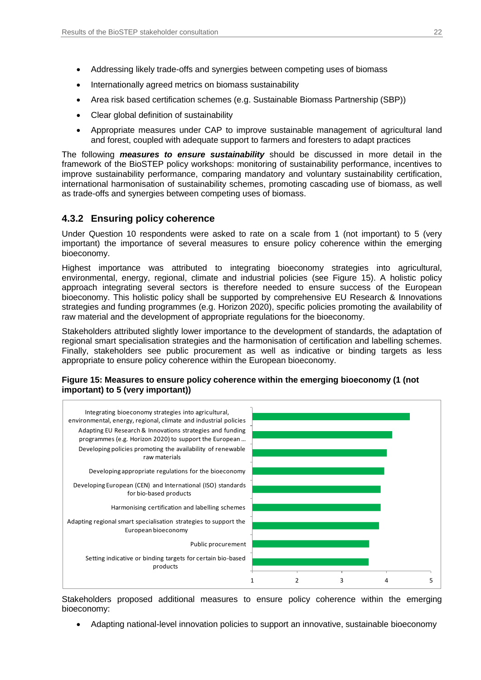- Addressing likely trade-offs and synergies between competing uses of biomass
- Internationally agreed metrics on biomass sustainability
- Area risk based certification schemes (e.g. Sustainable Biomass Partnership (SBP))
- Clear global definition of sustainability
- Appropriate measures under CAP to improve sustainable management of agricultural land and forest, coupled with adequate support to farmers and foresters to adapt practices

The following *measures to ensure sustainability* should be discussed in more detail in the framework of the BioSTEP policy workshops: monitoring of sustainability performance, incentives to improve sustainability performance, comparing mandatory and voluntary sustainability certification, international harmonisation of sustainability schemes, promoting cascading use of biomass, as well as trade-offs and synergies between competing uses of biomass.

## <span id="page-21-0"></span>**4.3.2 Ensuring policy coherence**

Under Question 10 respondents were asked to rate on a scale from 1 (not important) to 5 (very important) the importance of several measures to ensure policy coherence within the emerging bioeconomy.

Highest importance was attributed to integrating bioeconomy strategies into agricultural, environmental, energy, regional, climate and industrial policies (see Figure 15). A holistic policy approach integrating several sectors is therefore needed to ensure success of the European bioeconomy. This holistic policy shall be supported by comprehensive EU Research & Innovations strategies and funding programmes (e.g. Horizon 2020), specific policies promoting the availability of raw material and the development of appropriate regulations for the bioeconomy.

Stakeholders attributed slightly lower importance to the development of standards, the adaptation of regional smart specialisation strategies and the harmonisation of certification and labelling schemes. Finally, stakeholders see public procurement as well as indicative or binding targets as less appropriate to ensure policy coherence within the European bioeconomy.



#### <span id="page-21-1"></span>**Figure 15: Measures to ensure policy coherence within the emerging bioeconomy (1 (not important) to 5 (very important))**

Stakeholders proposed additional measures to ensure policy coherence within the emerging bioeconomy:

Adapting national-level innovation policies to support an innovative, sustainable bioeconomy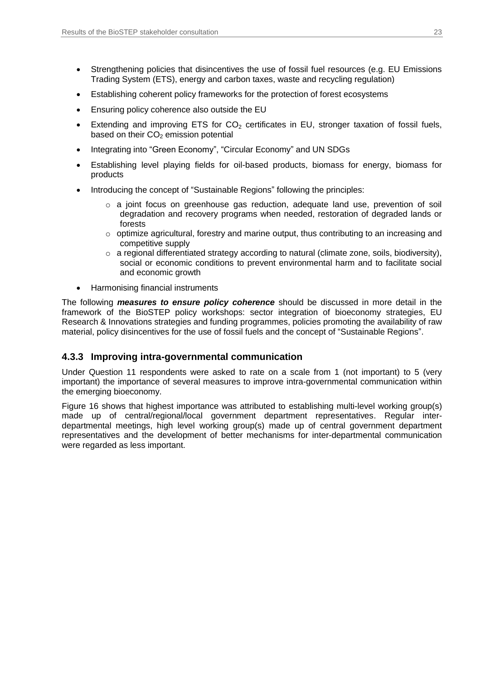- Strengthening policies that disincentives the use of fossil fuel resources (e.g. EU Emissions Trading System (ETS), energy and carbon taxes, waste and recycling regulation)
- Establishing coherent policy frameworks for the protection of forest ecosystems
- Ensuring policy coherence also outside the EU
- Extending and improving ETS for  $CO<sub>2</sub>$  certificates in EU, stronger taxation of fossil fuels, based on their  $CO<sub>2</sub>$  emission potential
- Integrating into "Green Economy", "Circular Economy" and UN SDGs
- Establishing level playing fields for oil-based products, biomass for energy, biomass for products
- Introducing the concept of "Sustainable Regions" following the principles:
	- o a joint focus on greenhouse gas reduction, adequate land use, prevention of soil degradation and recovery programs when needed, restoration of degraded lands or forests
	- o optimize agricultural, forestry and marine output, thus contributing to an increasing and competitive supply
	- $\circ$  a regional differentiated strategy according to natural (climate zone, soils, biodiversity), social or economic conditions to prevent environmental harm and to facilitate social and economic growth
- Harmonising financial instruments

The following *measures to ensure policy coherence* should be discussed in more detail in the framework of the BioSTEP policy workshops: sector integration of bioeconomy strategies, EU Research & Innovations strategies and funding programmes, policies promoting the availability of raw material, policy disincentives for the use of fossil fuels and the concept of "Sustainable Regions".

### <span id="page-22-0"></span>**4.3.3 Improving intra-governmental communication**

Under Question 11 respondents were asked to rate on a scale from 1 (not important) to 5 (very important) the importance of several measures to improve intra-governmental communication within the emerging bioeconomy.

Figure 16 shows that highest importance was attributed to establishing multi-level working group(s) made up of central/regional/local government department representatives. Regular interdepartmental meetings, high level working group(s) made up of central government department representatives and the development of better mechanisms for inter-departmental communication were regarded as less important.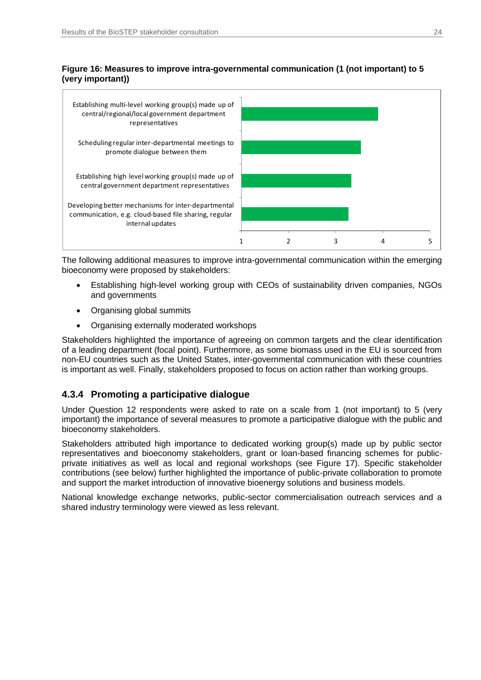### <span id="page-23-1"></span>**Figure 16: Measures to improve intra-governmental communication (1 (not important) to 5 (very important))**



The following additional measures to improve intra-governmental communication within the emerging bioeconomy were proposed by stakeholders:

- Establishing high-level working group with CEOs of sustainability driven companies, NGOs and governments
- Organising global summits
- Organising externally moderated workshops

Stakeholders highlighted the importance of agreeing on common targets and the clear identification of a leading department (focal point). Furthermore, as some biomass used in the EU is sourced from non-EU countries such as the United States, inter-governmental communication with these countries is important as well. Finally, stakeholders proposed to focus on action rather than working groups.

## <span id="page-23-0"></span>**4.3.4 Promoting a participative dialogue**

Under Question 12 respondents were asked to rate on a scale from 1 (not important) to 5 (very important) the importance of several measures to promote a participative dialogue with the public and bioeconomy stakeholders.

Stakeholders attributed high importance to dedicated working group(s) made up by public sector representatives and bioeconomy stakeholders, grant or loan-based financing schemes for publicprivate initiatives as well as local and regional workshops (see Figure 17). Specific stakeholder contributions (see below) further highlighted the importance of public-private collaboration to promote and support the market introduction of innovative bioenergy solutions and business models.

National knowledge exchange networks, public-sector commercialisation outreach services and a shared industry terminology were viewed as less relevant.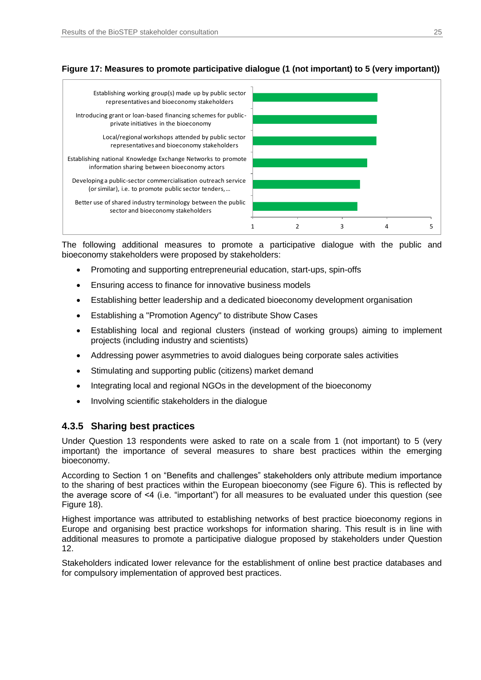

### <span id="page-24-1"></span>**Figure 17: Measures to promote participative dialogue (1 (not important) to 5 (very important))**

The following additional measures to promote a participative dialogue with the public and bioeconomy stakeholders were proposed by stakeholders:

- Promoting and supporting entrepreneurial education, start-ups, spin-offs
- Ensuring access to finance for innovative business models
- Establishing better leadership and a dedicated bioeconomy development organisation
- Establishing a "Promotion Agency" to distribute Show Cases
- Establishing local and regional clusters (instead of working groups) aiming to implement projects (including industry and scientists)
- Addressing power asymmetries to avoid dialogues being corporate sales activities
- Stimulating and supporting public (citizens) market demand
- Integrating local and regional NGOs in the development of the bioeconomy
- Involving scientific stakeholders in the dialogue

#### <span id="page-24-0"></span>**4.3.5 Sharing best practices**

Under Question 13 respondents were asked to rate on a scale from 1 (not important) to 5 (very important) the importance of several measures to share best practices within the emerging bioeconomy.

According to Section 1 on "Benefits and challenges" stakeholders only attribute medium importance to the sharing of best practices within the European bioeconomy (see Figure 6). This is reflected by the average score of <4 (i.e. "important") for all measures to be evaluated under this question (see Figure 18).

Highest importance was attributed to establishing networks of best practice bioeconomy regions in Europe and organising best practice workshops for information sharing. This result is in line with additional measures to promote a participative dialogue proposed by stakeholders under Question 12.

Stakeholders indicated lower relevance for the establishment of online best practice databases and for compulsory implementation of approved best practices.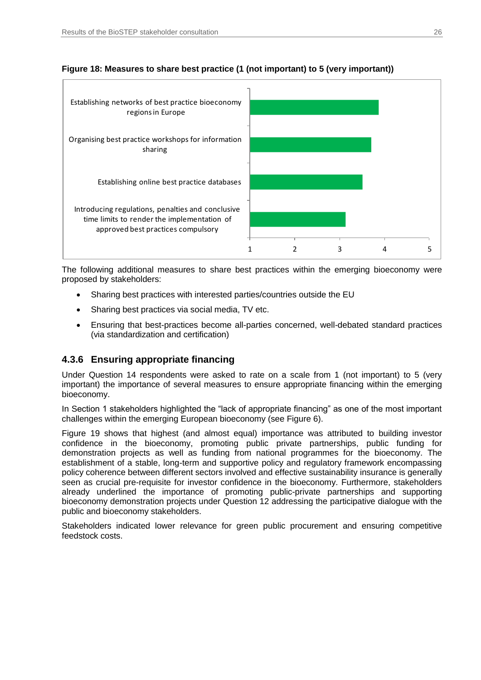

### <span id="page-25-1"></span>Figure 18: Measures to share best practice (1 (not important) to 5 (very important))

The following additional measures to share best practices within the emerging bioeconomy were proposed by stakeholders:

- Sharing best practices with interested parties/countries outside the EU
- Sharing best practices via social media, TV etc.
- Ensuring that best-practices become all-parties concerned, well-debated standard practices (via standardization and certification)

## <span id="page-25-0"></span>**4.3.6 Ensuring appropriate financing**

Under Question 14 respondents were asked to rate on a scale from 1 (not important) to 5 (very important) the importance of several measures to ensure appropriate financing within the emerging bioeconomy.

In Section 1 stakeholders highlighted the "lack of appropriate financing" as one of the most important challenges within the emerging European bioeconomy (see Figure 6).

Figure 19 shows that highest (and almost equal) importance was attributed to building investor confidence in the bioeconomy, promoting public private partnerships, public funding for demonstration projects as well as funding from national programmes for the bioeconomy. The establishment of a stable, long-term and supportive policy and regulatory framework encompassing policy coherence between different sectors involved and effective sustainability insurance is generally seen as crucial pre-requisite for investor confidence in the bioeconomy. Furthermore, stakeholders already underlined the importance of promoting public-private partnerships and supporting bioeconomy demonstration projects under Question 12 addressing the participative dialogue with the public and bioeconomy stakeholders.

Stakeholders indicated lower relevance for green public procurement and ensuring competitive feedstock costs.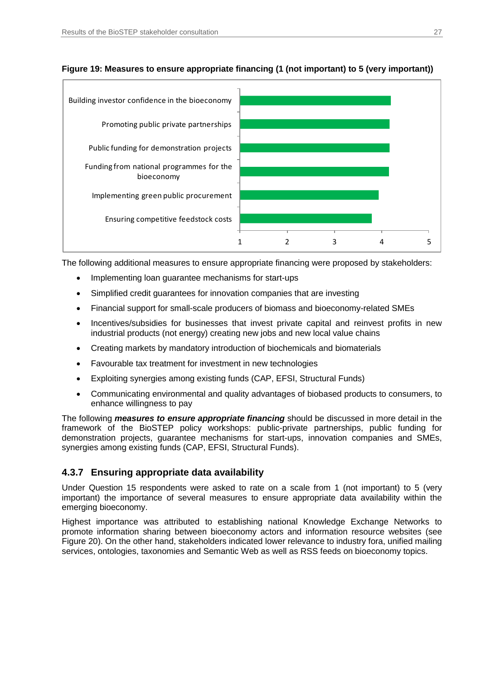

### <span id="page-26-1"></span>**Figure 19: Measures to ensure appropriate financing (1 (not important) to 5 (very important))**

The following additional measures to ensure appropriate financing were proposed by stakeholders:

- Implementing loan guarantee mechanisms for start-ups
- Simplified credit guarantees for innovation companies that are investing
- Financial support for small-scale producers of biomass and bioeconomy-related SMEs
- Incentives/subsidies for businesses that invest private capital and reinvest profits in new industrial products (not energy) creating new jobs and new local value chains
- Creating markets by mandatory introduction of biochemicals and biomaterials
- Favourable tax treatment for investment in new technologies
- Exploiting synergies among existing funds (CAP, EFSI, Structural Funds)
- Communicating environmental and quality advantages of biobased products to consumers, to enhance willingness to pay

The following *measures to ensure appropriate financing* should be discussed in more detail in the framework of the BioSTEP policy workshops: public-private partnerships, public funding for demonstration projects, guarantee mechanisms for start-ups, innovation companies and SMEs, synergies among existing funds (CAP, EFSI, Structural Funds).

## <span id="page-26-0"></span>**4.3.7 Ensuring appropriate data availability**

Under Question 15 respondents were asked to rate on a scale from 1 (not important) to 5 (very important) the importance of several measures to ensure appropriate data availability within the emerging bioeconomy.

Highest importance was attributed to establishing national Knowledge Exchange Networks to promote information sharing between bioeconomy actors and information resource websites (see Figure 20). On the other hand, stakeholders indicated lower relevance to industry fora, unified mailing services, ontologies, taxonomies and Semantic Web as well as RSS feeds on bioeconomy topics.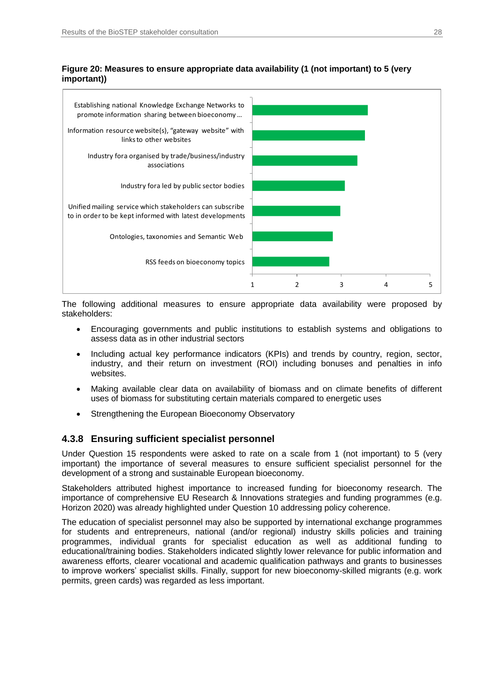<span id="page-27-1"></span>**Figure 20: Measures to ensure appropriate data availability (1 (not important) to 5 (very important))**



The following additional measures to ensure appropriate data availability were proposed by stakeholders:

- Encouraging governments and public institutions to establish systems and obligations to assess data as in other industrial sectors
- Including actual key performance indicators (KPIs) and trends by country, region, sector, industry, and their return on investment (ROI) including bonuses and penalties in info websites.
- Making available clear data on availability of biomass and on climate benefits of different uses of biomass for substituting certain materials compared to energetic uses
- Strengthening the European Bioeconomy Observatory

### <span id="page-27-0"></span>**4.3.8 Ensuring sufficient specialist personnel**

Under Question 15 respondents were asked to rate on a scale from 1 (not important) to 5 (very important) the importance of several measures to ensure sufficient specialist personnel for the development of a strong and sustainable European bioeconomy.

Stakeholders attributed highest importance to increased funding for bioeconomy research. The importance of comprehensive EU Research & Innovations strategies and funding programmes (e.g. Horizon 2020) was already highlighted under Question 10 addressing policy coherence.

The education of specialist personnel may also be supported by international exchange programmes for students and entrepreneurs, national (and/or regional) industry skills policies and training programmes, individual grants for specialist education as well as additional funding to educational/training bodies. Stakeholders indicated slightly lower relevance for public information and awareness efforts, clearer vocational and academic qualification pathways and grants to businesses to improve workers' specialist skills. Finally, support for new bioeconomy-skilled migrants (e.g. work permits, green cards) was regarded as less important.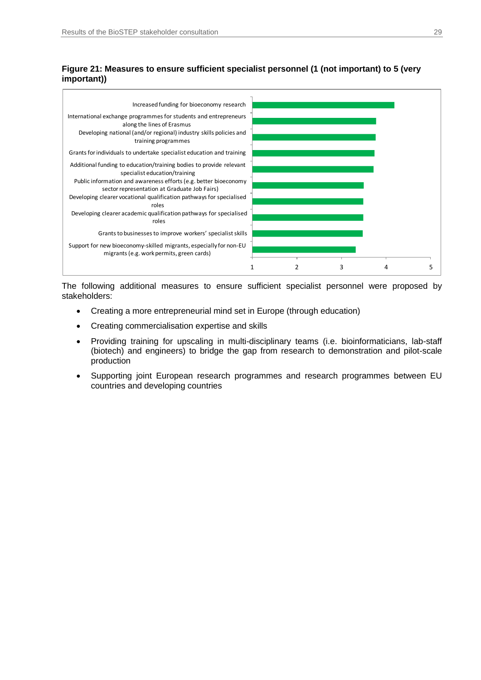#### <span id="page-28-0"></span>**Figure 21: Measures to ensure sufficient specialist personnel (1 (not important) to 5 (very important))**



The following additional measures to ensure sufficient specialist personnel were proposed by stakeholders:

- Creating a more entrepreneurial mind set in Europe (through education)
- Creating commercialisation expertise and skills
- Providing training for upscaling in multi-disciplinary teams (i.e. bioinformaticians, lab-staff (biotech) and engineers) to bridge the gap from research to demonstration and pilot-scale production
- Supporting joint European research programmes and research programmes between EU countries and developing countries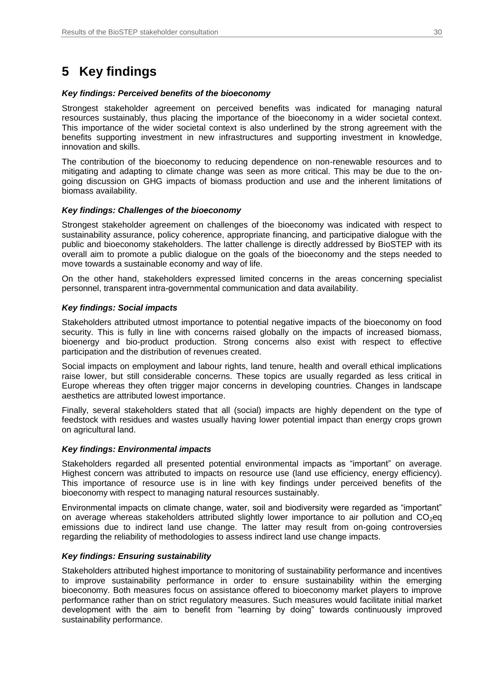## <span id="page-29-0"></span>**5 Key findings**

#### *Key findings: Perceived benefits of the bioeconomy*

Strongest stakeholder agreement on perceived benefits was indicated for managing natural resources sustainably, thus placing the importance of the bioeconomy in a wider societal context. This importance of the wider societal context is also underlined by the strong agreement with the benefits supporting investment in new infrastructures and supporting investment in knowledge, innovation and skills.

The contribution of the bioeconomy to reducing dependence on non-renewable resources and to mitigating and adapting to climate change was seen as more critical. This may be due to the ongoing discussion on GHG impacts of biomass production and use and the inherent limitations of biomass availability.

#### *Key findings: Challenges of the bioeconomy*

Strongest stakeholder agreement on challenges of the bioeconomy was indicated with respect to sustainability assurance, policy coherence, appropriate financing, and participative dialogue with the public and bioeconomy stakeholders. The latter challenge is directly addressed by BioSTEP with its overall aim to promote a public dialogue on the goals of the bioeconomy and the steps needed to move towards a sustainable economy and way of life.

On the other hand, stakeholders expressed limited concerns in the areas concerning specialist personnel, transparent intra-governmental communication and data availability.

#### *Key findings: Social impacts*

Stakeholders attributed utmost importance to potential negative impacts of the bioeconomy on food security. This is fully in line with concerns raised globally on the impacts of increased biomass, bioenergy and bio-product production. Strong concerns also exist with respect to effective participation and the distribution of revenues created.

Social impacts on employment and labour rights, land tenure, health and overall ethical implications raise lower, but still considerable concerns. These topics are usually regarded as less critical in Europe whereas they often trigger major concerns in developing countries. Changes in landscape aesthetics are attributed lowest importance.

Finally, several stakeholders stated that all (social) impacts are highly dependent on the type of feedstock with residues and wastes usually having lower potential impact than energy crops grown on agricultural land.

#### *Key findings: Environmental impacts*

Stakeholders regarded all presented potential environmental impacts as "important" on average. Highest concern was attributed to impacts on resource use (land use efficiency, energy efficiency). This importance of resource use is in line with key findings under perceived benefits of the bioeconomy with respect to managing natural resources sustainably.

Environmental impacts on climate change, water, soil and biodiversity were regarded as "important" on average whereas stakeholders attributed slightly lower importance to air pollution and  $CO<sub>2</sub>$ eg emissions due to indirect land use change. The latter may result from on-going controversies regarding the reliability of methodologies to assess indirect land use change impacts.

#### *Key findings: Ensuring sustainability*

Stakeholders attributed highest importance to monitoring of sustainability performance and incentives to improve sustainability performance in order to ensure sustainability within the emerging bioeconomy. Both measures focus on assistance offered to bioeconomy market players to improve performance rather than on strict regulatory measures. Such measures would facilitate initial market development with the aim to benefit from "learning by doing" towards continuously improved sustainability performance.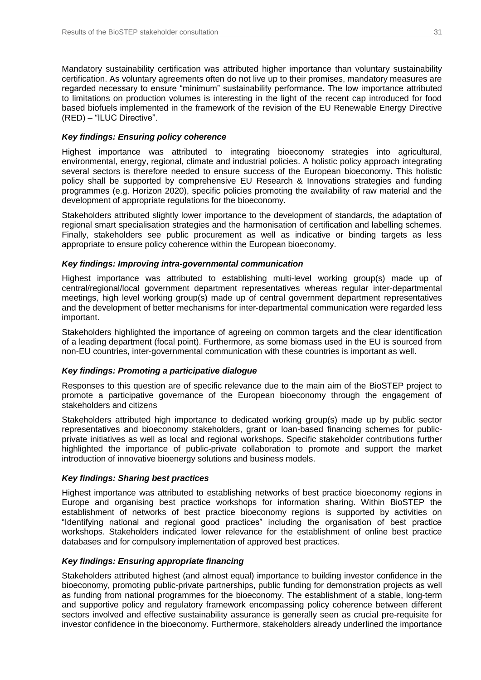Mandatory sustainability certification was attributed higher importance than voluntary sustainability certification. As voluntary agreements often do not live up to their promises, mandatory measures are regarded necessary to ensure "minimum" sustainability performance. The low importance attributed to limitations on production volumes is interesting in the light of the recent cap introduced for food based biofuels implemented in the framework of the revision of the EU Renewable Energy Directive (RED) – "ILUC Directive".

#### *Key findings: Ensuring policy coherence*

Highest importance was attributed to integrating bioeconomy strategies into agricultural, environmental, energy, regional, climate and industrial policies. A holistic policy approach integrating several sectors is therefore needed to ensure success of the European bioeconomy. This holistic policy shall be supported by comprehensive EU Research & Innovations strategies and funding programmes (e.g. Horizon 2020), specific policies promoting the availability of raw material and the development of appropriate regulations for the bioeconomy.

Stakeholders attributed slightly lower importance to the development of standards, the adaptation of regional smart specialisation strategies and the harmonisation of certification and labelling schemes. Finally, stakeholders see public procurement as well as indicative or binding targets as less appropriate to ensure policy coherence within the European bioeconomy.

#### *Key findings: Improving intra-governmental communication*

Highest importance was attributed to establishing multi-level working group(s) made up of central/regional/local government department representatives whereas regular inter-departmental meetings, high level working group(s) made up of central government department representatives and the development of better mechanisms for inter-departmental communication were regarded less important.

Stakeholders highlighted the importance of agreeing on common targets and the clear identification of a leading department (focal point). Furthermore, as some biomass used in the EU is sourced from non-EU countries, inter-governmental communication with these countries is important as well.

#### *Key findings: Promoting a participative dialogue*

Responses to this question are of specific relevance due to the main aim of the BioSTEP project to promote a participative governance of the European bioeconomy through the engagement of stakeholders and citizens

Stakeholders attributed high importance to dedicated working group(s) made up by public sector representatives and bioeconomy stakeholders, grant or loan-based financing schemes for publicprivate initiatives as well as local and regional workshops. Specific stakeholder contributions further highlighted the importance of public-private collaboration to promote and support the market introduction of innovative bioenergy solutions and business models.

#### *Key findings: Sharing best practices*

Highest importance was attributed to establishing networks of best practice bioeconomy regions in Europe and organising best practice workshops for information sharing. Within BioSTEP the establishment of networks of best practice bioeconomy regions is supported by activities on "Identifying national and regional good practices" including the organisation of best practice workshops. Stakeholders indicated lower relevance for the establishment of online best practice databases and for compulsory implementation of approved best practices.

#### *Key findings: Ensuring appropriate financing*

Stakeholders attributed highest (and almost equal) importance to building investor confidence in the bioeconomy, promoting public-private partnerships, public funding for demonstration projects as well as funding from national programmes for the bioeconomy. The establishment of a stable, long-term and supportive policy and regulatory framework encompassing policy coherence between different sectors involved and effective sustainability assurance is generally seen as crucial pre-requisite for investor confidence in the bioeconomy. Furthermore, stakeholders already underlined the importance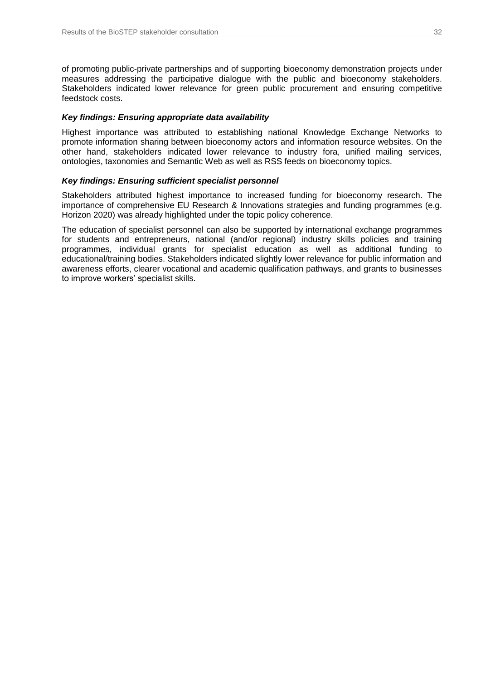of promoting public-private partnerships and of supporting bioeconomy demonstration projects under measures addressing the participative dialogue with the public and bioeconomy stakeholders. Stakeholders indicated lower relevance for green public procurement and ensuring competitive feedstock costs.

#### *Key findings: Ensuring appropriate data availability*

Highest importance was attributed to establishing national Knowledge Exchange Networks to promote information sharing between bioeconomy actors and information resource websites. On the other hand, stakeholders indicated lower relevance to industry fora, unified mailing services, ontologies, taxonomies and Semantic Web as well as RSS feeds on bioeconomy topics.

#### *Key findings: Ensuring sufficient specialist personnel*

Stakeholders attributed highest importance to increased funding for bioeconomy research. The importance of comprehensive EU Research & Innovations strategies and funding programmes (e.g. Horizon 2020) was already highlighted under the topic policy coherence.

The education of specialist personnel can also be supported by international exchange programmes for students and entrepreneurs, national (and/or regional) industry skills policies and training programmes, individual grants for specialist education as well as additional funding to educational/training bodies. Stakeholders indicated slightly lower relevance for public information and awareness efforts, clearer vocational and academic qualification pathways, and grants to businesses to improve workers' specialist skills.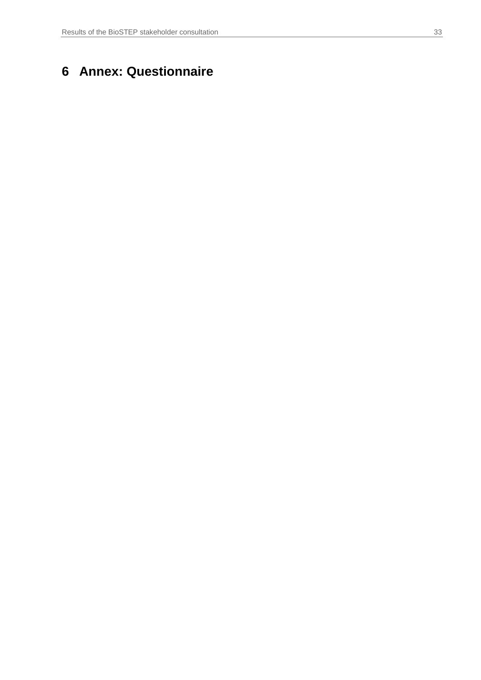## <span id="page-32-0"></span>**6 Annex: Questionnaire**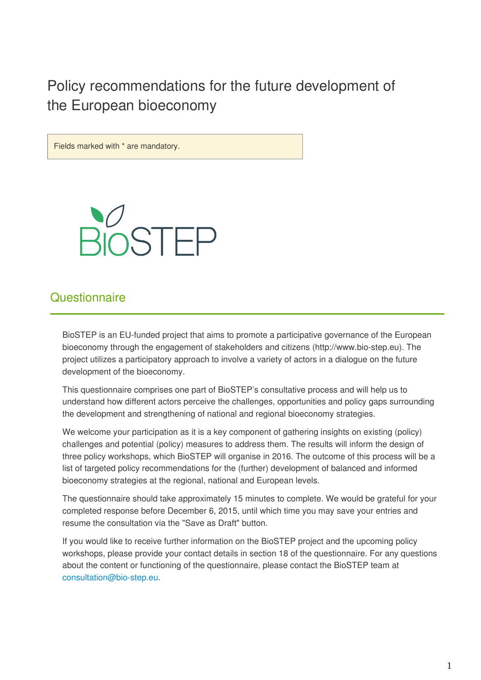Policy recommendations for the future development of the European bioeconomy



## **Questionnaire**

BioSTEP is an EU-funded project that aims to promote a participative governance of the European bioeconomy through the engagement of stakeholders and citizens (http://www.bio-step.eu). The project utilizes a participatory approach to involve a variety of actors in a dialogue on the future development of the bioeconomy.

This questionnaire comprises one part of BioSTEP's consultative process and will help us to understand how different actors perceive the challenges, opportunities and policy gaps surrounding the development and strengthening of national and regional bioeconomy strategies.

We welcome your participation as it is a key component of gathering insights on existing (policy) challenges and potential (policy) measures to address them. The results will inform the design of three policy workshops, which BioSTEP will organise in 2016. The outcome of this process will be a list of targeted policy recommendations for the (further) development of balanced and informed bioeconomy strategies at the regional, national and European levels.

The questionnaire should take approximately 15 minutes to complete. We would be grateful for your completed response before December 6, 2015, until which time you may save your entries and resume the consultation via the "Save as Draft" button.

If you would like to receive further information on the BioSTEP project and the upcoming policy workshops, please provide your contact details in section 18 of the questionnaire. For any questions about the content or functioning of the questionnaire, please contact the BioSTEP team at consultation@bio-step.eu.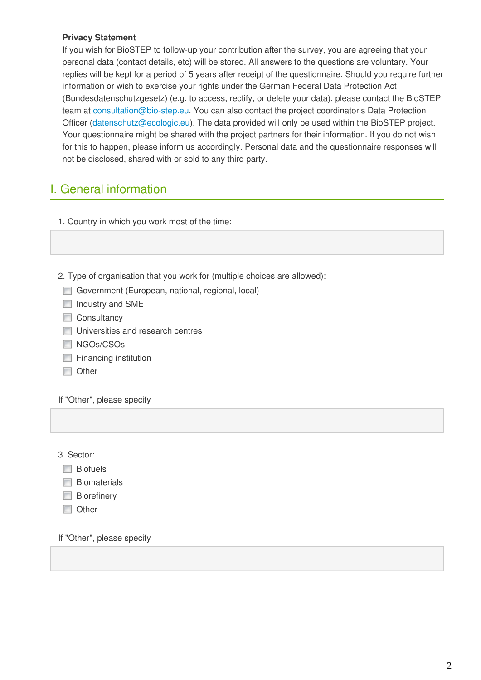### **Privacy Statement**

If you wish for BioSTEP to follow-up your contribution after the survey, you are agreeing that your personal data (contact details, etc) will be stored. All answers to the questions are voluntary. Your replies will be kept for a period of 5 years after receipt of the questionnaire. Should you require further information or wish to exercise your rights under the German Federal Data Protection Act (Bundesdatenschutzgesetz) (e.g. to access, rectify, or delete your data), please contact the BioSTEP team at consultation@bio-step.eu. You can also contact the project coordinator's Data Protection Officer (datenschutz@ecologic.eu). The data provided will only be used within the BioSTEP project. Your questionnaire might be shared with the project partners for their information. If you do not wish for this to happen, please inform us accordingly. Personal data and the questionnaire responses will not be disclosed, shared with or sold to any third party.

## I. General information

1. Country in which you work most of the time:

- 2. Type of organisation that you work for (multiple choices are allowed):
	- Government (European, national, regional, local)
	- Industry and SME
	- Consultancy
	- **Universities and research centres**
	- NGOs/CSOs
	- **Financing institution**
	- **Other**

If "Other", please specify

3. Sector:

- **Biofuels**
- **Biomaterials**
- **Biorefinery**
- **Other**

If "Other", please specify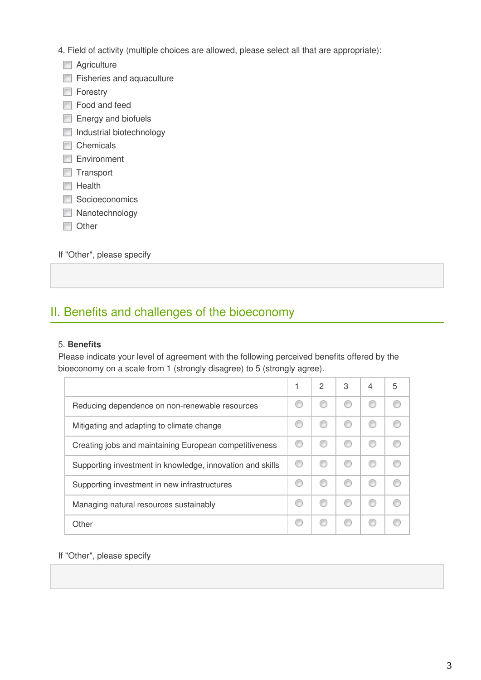- 4. Field of activity (multiple choices are allowed, please select all that are appropriate):
	- **Agriculture**
	- **Fisheries and aquaculture**
	- **Forestry**
	- **Food and feed**
	- Energy and biofuels
	- Industrial biotechnology
	- Chemicals
	- Environment
	- **Transport**
	- $\blacksquare$  Health
	- Socioeconomics
	- Nanotechnology
	- **Other**

If "Other", please specify

## II. Benefits and challenges of the bioeconomy

### 5. **Benefits**

Please indicate your level of agreement with the following perceived benefits offered by the bioeconomy on a scale from 1 (strongly disagree) to 5 (strongly agree).

|                                                           | 2 | 3 | 4 | 5 |
|-----------------------------------------------------------|---|---|---|---|
| Reducing dependence on non-renewable resources            |   |   |   |   |
| Mitigating and adapting to climate change                 |   |   |   |   |
| Creating jobs and maintaining European competitiveness    |   |   |   |   |
| Supporting investment in knowledge, innovation and skills |   |   |   |   |
| Supporting investment in new infrastructures              |   |   |   |   |
| Managing natural resources sustainably                    |   |   |   |   |
| Other                                                     |   |   |   |   |

If "Other", please specify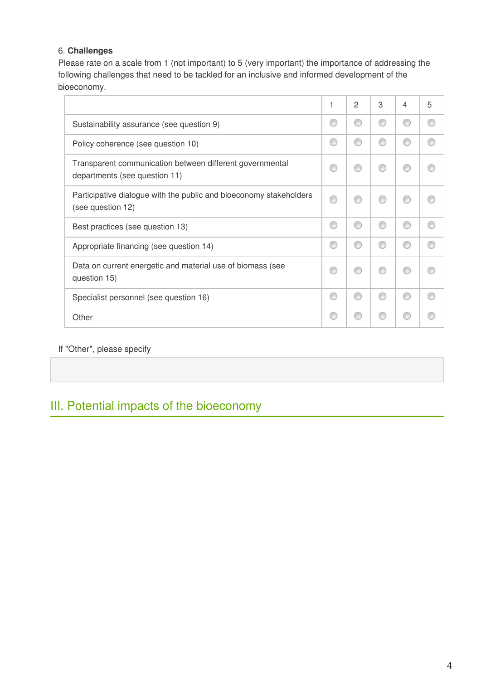## 6. **Challenges**

Please rate on a scale from 1 (not important) to 5 (very important) the importance of addressing the following challenges that need to be tackled for an inclusive and informed development of the bioeconomy.

|                                                                                           | 1 | $\overline{c}$ | 3 | 4  | 5 |
|-------------------------------------------------------------------------------------------|---|----------------|---|----|---|
| Sustainability assurance (see question 9)                                                 |   | ◎              |   | 66 |   |
| Policy coherence (see question 10)                                                        | ⋒ | ⋒              | C |    |   |
| Transparent communication between different governmental<br>departments (see question 11) |   |                |   |    |   |
| Participative dialogue with the public and bioeconomy stakeholders<br>(see question 12)   | ⋒ | ⋒              |   |    |   |
| Best practices (see question 13)                                                          |   | ⋒              |   |    |   |
| Appropriate financing (see question 14)                                                   |   | ⋒              |   |    |   |
| Data on current energetic and material use of biomass (see<br>question 15)                |   | ⋒              | r |    |   |
| Specialist personnel (see question 16)                                                    |   | ⋒              | C |    |   |
| Other                                                                                     |   |                |   |    |   |

## If "Other", please specify

## III. Potential impacts of the bioeconomy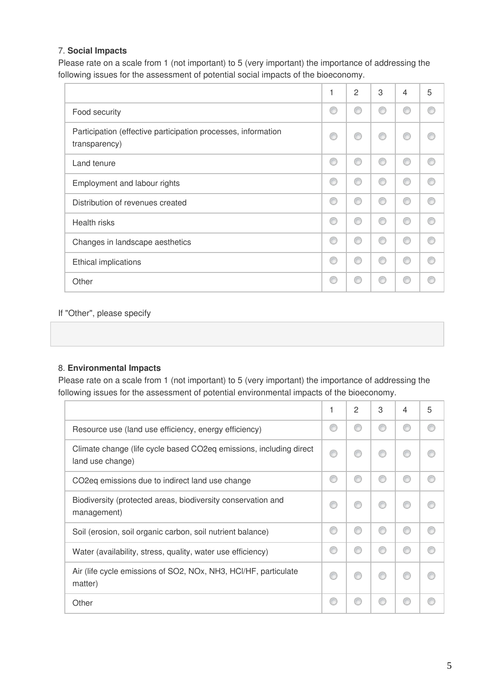## 7. **Social Impacts**

Please rate on a scale from 1 (not important) to 5 (very important) the importance of addressing the following issues for the assessment of potential social impacts of the bioeconomy.

|                                                                                | 1 | $\overline{2}$ | 3 | $\overline{4}$ | 5 |
|--------------------------------------------------------------------------------|---|----------------|---|----------------|---|
| Food security                                                                  |   | €              |   |                |   |
| Participation (effective participation processes, information<br>transparency) | C | €              | e | ⋒              |   |
| Land tenure                                                                    | ⋒ | ◎              | e | ⋒              |   |
| Employment and labour rights                                                   | ⋒ | ∩              | C | ⋒              |   |
| Distribution of revenues created                                               | c | ◎              | r | C              |   |
| <b>Health risks</b>                                                            | C | ⋒              | C | ⋒              |   |
| Changes in landscape aesthetics                                                |   | ∩              | F |                |   |
| Ethical implications                                                           |   | ⋒              | C | ⋒              |   |
| Other                                                                          |   | ⊙              | F |                |   |

### If "Other", please specify

### 8. **Environmental Impacts**

Please rate on a scale from 1 (not important) to 5 (very important) the importance of addressing the following issues for the assessment of potential environmental impacts of the bioeconomy.

|                                                                                        | 2 | 3 | 4 | 5 |
|----------------------------------------------------------------------------------------|---|---|---|---|
| Resource use (land use efficiency, energy efficiency)                                  |   |   |   |   |
| Climate change (life cycle based CO2eq emissions, including direct<br>land use change) |   |   |   |   |
| CO <sub>2</sub> emissions due to indirect land use change                              | € |   |   |   |
| Biodiversity (protected areas, biodiversity conservation and<br>management)            |   |   |   |   |
| Soil (erosion, soil organic carbon, soil nutrient balance)                             | € | C |   |   |
| Water (availability, stress, quality, water use efficiency)                            |   |   |   |   |
| Air (life cycle emissions of SO2, NOx, NH3, HCl/HF, particulate<br>matter)             |   |   |   |   |
| Other                                                                                  |   |   |   |   |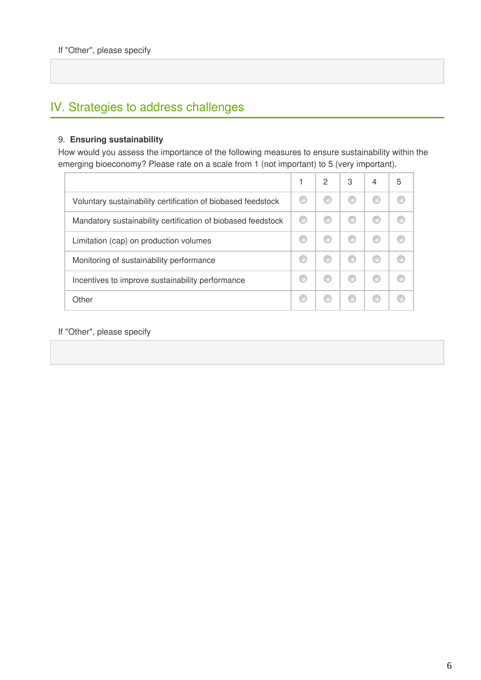## IV. Strategies to address challenges

### 9. **Ensuring sustainability**

How would you assess the importance of the following measures to ensure sustainability within the emerging bioeconomy? Please rate on a scale from 1 (not important) to 5 (very important).

|                                                              | 2 | 3 | 4 | 5 |
|--------------------------------------------------------------|---|---|---|---|
| Voluntary sustainability certification of biobased feedstock |   |   |   |   |
| Mandatory sustainability certification of biobased feedstock |   |   |   |   |
| Limitation (cap) on production volumes                       |   |   |   |   |
| Monitoring of sustainability performance                     |   |   |   |   |
| Incentives to improve sustainability performance             |   |   |   |   |
| Other                                                        |   |   |   |   |

If "Other", please specify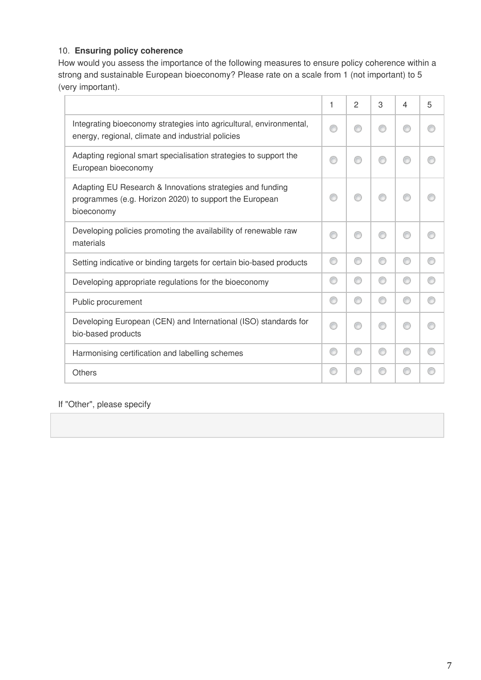## 10. **Ensuring policy coherence**

How would you assess the importance of the following measures to ensure policy coherence within a strong and sustainable European bioeconomy? Please rate on a scale from 1 (not important) to 5 (very important).

|                                                                                                                                   | 1 | $\overline{2}$ | 3 | 4 | 5 |
|-----------------------------------------------------------------------------------------------------------------------------------|---|----------------|---|---|---|
| Integrating bioeconomy strategies into agricultural, environmental,<br>energy, regional, climate and industrial policies          |   | ⋒              |   | ⋒ |   |
| Adapting regional smart specialisation strategies to support the<br>European bioeconomy                                           |   | ⋒              |   | ∩ |   |
| Adapting EU Research & Innovations strategies and funding<br>programmes (e.g. Horizon 2020) to support the European<br>bioeconomy |   |                |   |   |   |
| Developing policies promoting the availability of renewable raw<br>materials                                                      |   |                |   |   |   |
| Setting indicative or binding targets for certain bio-based products                                                              | ⋒ | ⊙              | ⋒ | ∩ |   |
| Developing appropriate regulations for the bioeconomy                                                                             | ⊙ | ⊙              | ∩ | ⊙ |   |
| Public procurement                                                                                                                | ∩ | ⊙              | ⋒ | ∩ |   |
| Developing European (CEN) and International (ISO) standards for<br>bio-based products                                             | ⋒ | ⋒              | ⋒ | ∩ |   |
| Harmonising certification and labelling schemes                                                                                   | ∩ | ⊙              | ⊙ | ⊙ |   |
| <b>Others</b>                                                                                                                     | ⋒ | ⋒              |   | ⋒ |   |

If "Other", please specify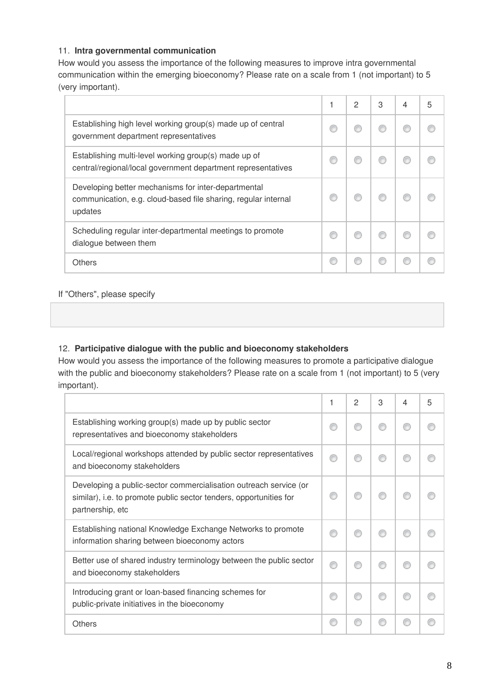## 11. **Intra governmental communication**

How would you assess the importance of the following measures to improve intra governmental communication within the emerging bioeconomy? Please rate on a scale from 1 (not important) to 5 (very important).

|                                                                                                                                  | 2 | 3 | 5 |
|----------------------------------------------------------------------------------------------------------------------------------|---|---|---|
| Establishing high level working group(s) made up of central<br>government department representatives                             |   |   |   |
| Establishing multi-level working group(s) made up of<br>central/regional/local government department representatives             |   |   |   |
| Developing better mechanisms for inter-departmental<br>communication, e.g. cloud-based file sharing, regular internal<br>updates |   |   |   |
| Scheduling regular inter-departmental meetings to promote<br>dialogue between them                                               |   |   |   |
| <b>Others</b>                                                                                                                    |   |   |   |

## If "Others", please specify

## 12. **Participative dialogue with the public and bioeconomy stakeholders**

How would you assess the importance of the following measures to promote a participative dialogue with the public and bioeconomy stakeholders? Please rate on a scale from 1 (not important) to 5 (very important).

|                                                                                                                                                             | 1 | 2 | 3 | 4 | 5 |
|-------------------------------------------------------------------------------------------------------------------------------------------------------------|---|---|---|---|---|
| Establishing working group(s) made up by public sector<br>representatives and bioeconomy stakeholders                                                       |   |   |   |   |   |
| Local/regional workshops attended by public sector representatives<br>and bioeconomy stakeholders                                                           |   |   |   |   |   |
| Developing a public-sector commercialisation outreach service (or<br>similar), i.e. to promote public sector tenders, opportunities for<br>partnership, etc |   |   |   |   |   |
| Establishing national Knowledge Exchange Networks to promote<br>information sharing between bioeconomy actors                                               |   |   |   |   |   |
| Better use of shared industry terminology between the public sector<br>and bioeconomy stakeholders                                                          |   |   |   |   |   |
| Introducing grant or loan-based financing schemes for<br>public-private initiatives in the bioeconomy                                                       |   |   |   |   |   |
| Others                                                                                                                                                      |   |   |   |   |   |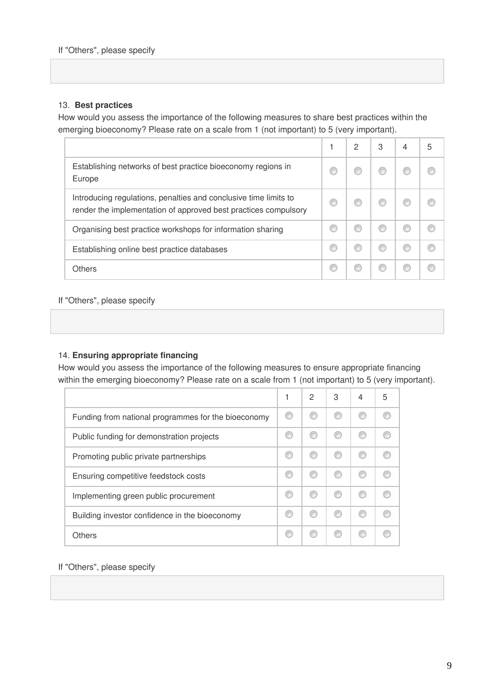## 13. **Best practices**

How would you assess the importance of the following measures to share best practices within the emerging bioeconomy? Please rate on a scale from 1 (not important) to 5 (very important).

|                                                                                                                                     | 2 | 3 | 5 |
|-------------------------------------------------------------------------------------------------------------------------------------|---|---|---|
| Establishing networks of best practice bioeconomy regions in<br>Europe                                                              |   |   |   |
| Introducing regulations, penalties and conclusive time limits to<br>render the implementation of approved best practices compulsory |   |   |   |
| Organising best practice workshops for information sharing                                                                          |   |   |   |
| Establishing online best practice databases                                                                                         |   |   |   |
| Others                                                                                                                              |   |   |   |

### If "Others", please specify

### 14. **Ensuring appropriate financing**

How would you assess the importance of the following measures to ensure appropriate financing within the emerging bioeconomy? Please rate on a scale from 1 (not important) to 5 (very important).

|                                                     | 1 | 2 | 3 | 4 | 5 |
|-----------------------------------------------------|---|---|---|---|---|
| Funding from national programmes for the bioeconomy |   |   |   |   |   |
| Public funding for demonstration projects           |   |   |   |   |   |
| Promoting public private partnerships               |   |   |   |   |   |
| Ensuring competitive feedstock costs                |   |   |   |   |   |
| Implementing green public procurement               |   |   |   |   |   |
| Building investor confidence in the bioeconomy      |   |   |   |   |   |
| Others                                              |   |   |   |   |   |

#### If "Others", please specify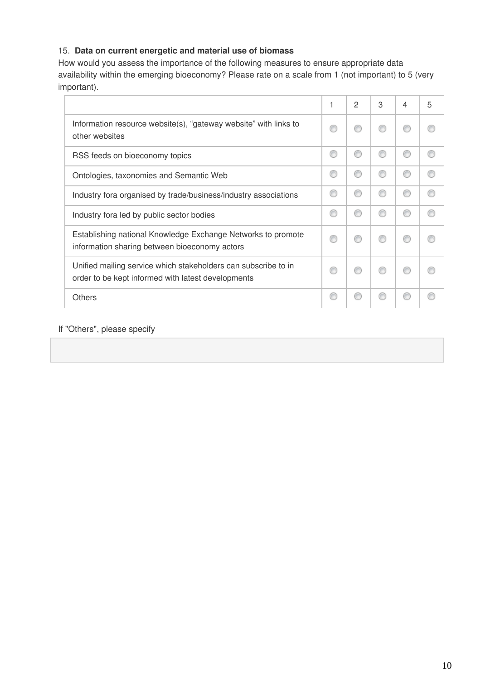## 15.  **Data on current energetic and material use of biomass**

How would you assess the importance of the following measures to ensure appropriate data availability within the emerging bioeconomy? Please rate on a scale from 1 (not important) to 5 (very important).

|                                                                                                                      | $\overline{c}$ | 3 | 4 | 5 |
|----------------------------------------------------------------------------------------------------------------------|----------------|---|---|---|
| Information resource website(s), "gateway website" with links to<br>other websites                                   |                |   |   |   |
| RSS feeds on bioeconomy topics                                                                                       |                |   |   |   |
| Ontologies, taxonomies and Semantic Web                                                                              | €              | o |   |   |
| Industry fora organised by trade/business/industry associations                                                      |                |   |   |   |
| Industry fora led by public sector bodies                                                                            | €              |   |   |   |
| Establishing national Knowledge Exchange Networks to promote<br>information sharing between bioeconomy actors        | €              |   |   |   |
| Unified mailing service which stakeholders can subscribe to in<br>order to be kept informed with latest developments |                |   |   |   |
| <b>Others</b>                                                                                                        |                |   |   |   |

## If "Others", please specify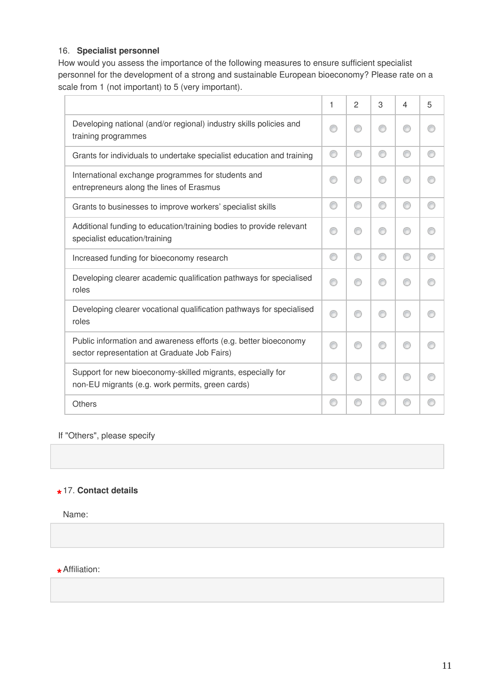## 16. **Specialist personnel**

How would you assess the importance of the following measures to ensure sufficient specialist personnel for the development of a strong and sustainable European bioeconomy? Please rate on a scale from 1 (not important) to 5 (very important).

|                                                                                                                  | 1 | $\overline{2}$ | 3 | 4 | 5 |
|------------------------------------------------------------------------------------------------------------------|---|----------------|---|---|---|
| Developing national (and/or regional) industry skills policies and<br>training programmes                        |   | ⋒              | ⋒ | ∩ |   |
| Grants for individuals to undertake specialist education and training                                            | ⊙ | ⊙              | ⊙ | ∩ | € |
| International exchange programmes for students and<br>entrepreneurs along the lines of Erasmus                   | ⋒ | €              | ⋒ | ⊙ |   |
| Grants to businesses to improve workers' specialist skills                                                       | ⊙ | ⊙              | ◎ | ∩ |   |
| Additional funding to education/training bodies to provide relevant<br>specialist education/training             |   | €              | ⋒ | ⋒ |   |
| Increased funding for bioeconomy research                                                                        | ⊙ | ◎              | € | ⋒ |   |
| Developing clearer academic qualification pathways for specialised<br>roles                                      |   | ⋒              |   | ⋒ |   |
| Developing clearer vocational qualification pathways for specialised<br>roles                                    |   |                |   | ∩ |   |
| Public information and awareness efforts (e.g. better bioeconomy<br>sector representation at Graduate Job Fairs) |   | ⋒              |   | ∩ |   |
| Support for new bioeconomy-skilled migrants, especially for<br>non-EU migrants (e.g. work permits, green cards)  | ⋒ | ⋒              |   | ∩ |   |
| <b>Others</b>                                                                                                    |   | €              |   | ∩ |   |

If "Others", please specify

## **\*** 17. **Contact details**

Name:

**\*** Affiliation: